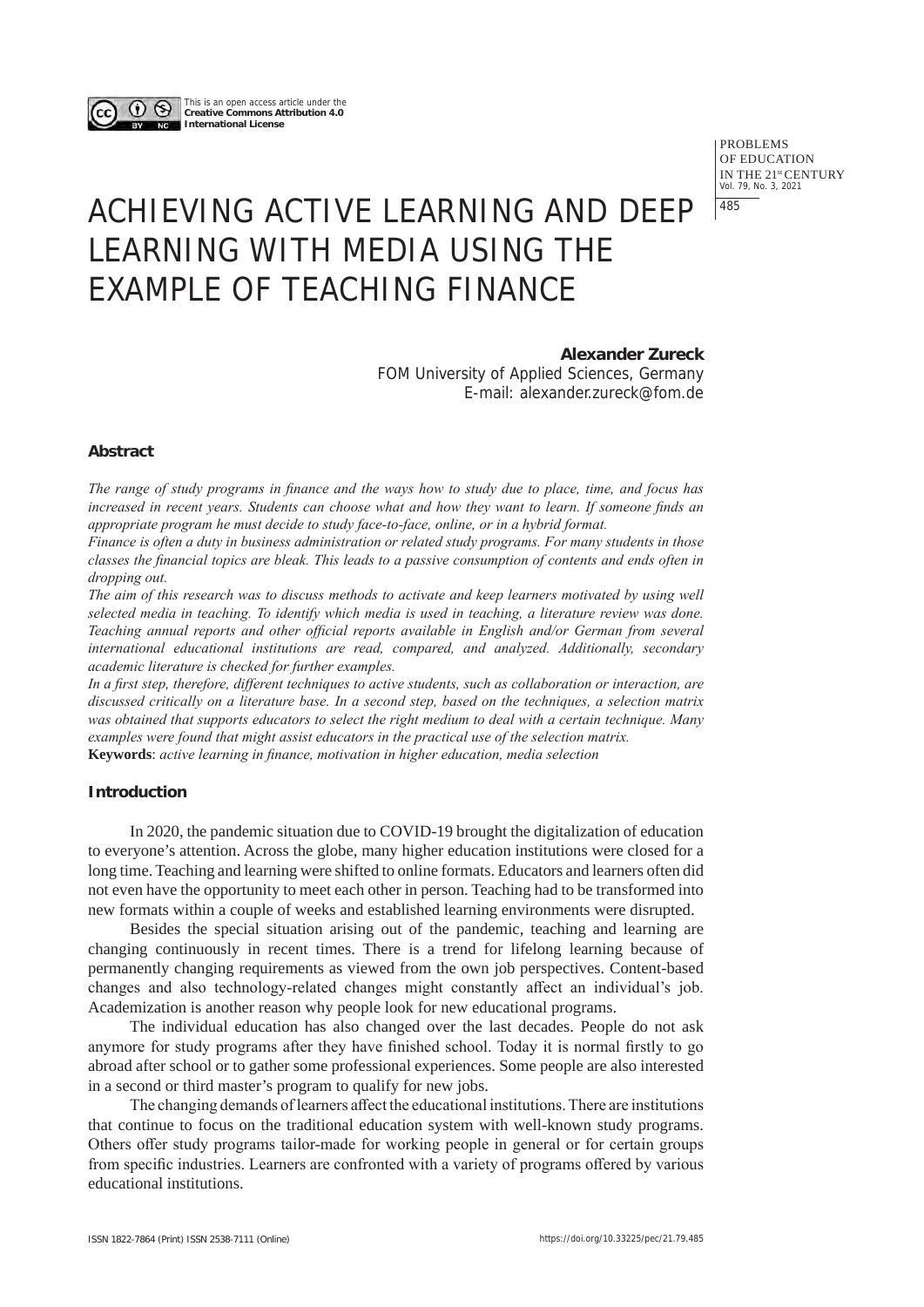This is an open access article under the **Creative Commons Attribution 4.0 International License**

> PROBLEMS OF EDUCATION IN THE 21st CENTURY Vol. 79, No. 3, 2021 485

# ACHIEVING ACTIVE LEARNING AND DEEP LEARNING WITH MEDIA USING THE EXAMPLE OF TEACHING FINANCE

# **Alexander Zureck**

FOM University of Applied Sciences, Germany E-mail: alexander.zureck@fom.de

# **Abstract**

*The range of study programs in finance and the ways how to study due to place, time, and focus has increased in recent years. Students can choose what and how they want to learn. If someone finds an appropriate program he must decide to study face-to-face, online, or in a hybrid format.*

*Finance is often a duty in business administration or related study programs. For many students in those classes the financial topics are bleak. This leads to a passive consumption of contents and ends often in dropping out.*

*The aim of this research was to discuss methods to activate and keep learners motivated by using well selected media in teaching. To identify which media is used in teaching, a literature review was done. Teaching annual reports and other official reports available in English and/or German from several international educational institutions are read, compared, and analyzed. Additionally, secondary academic literature is checked for further examples.*

*In a first step, therefore, different techniques to active students, such as collaboration or interaction, are discussed critically on a literature base. In a second step, based on the techniques, a selection matrix was obtained that supports educators to select the right medium to deal with a certain technique. Many examples were found that might assist educators in the practical use of the selection matrix.* **Keywords**: *active learning in finance, motivation in higher education, media selection*

# **Introduction**

In 2020, the pandemic situation due to COVID-19 brought the digitalization of education to everyone's attention. Across the globe, many higher education institutions were closed for a long time. Teaching and learning were shifted to online formats. Educators and learners often did not even have the opportunity to meet each other in person. Teaching had to be transformed into new formats within a couple of weeks and established learning environments were disrupted.

Besides the special situation arising out of the pandemic, teaching and learning are changing continuously in recent times. There is a trend for lifelong learning because of permanently changing requirements as viewed from the own job perspectives. Content-based changes and also technology-related changes might constantly affect an individual's job. Academization is another reason why people look for new educational programs.

The individual education has also changed over the last decades. People do not ask anymore for study programs after they have finished school. Today it is normal firstly to go abroad after school or to gather some professional experiences. Some people are also interested in a second or third master's program to qualify for new jobs.

The changing demands of learners affect the educational institutions. There are institutions that continue to focus on the traditional education system with well-known study programs. Others offer study programs tailor-made for working people in general or for certain groups from specific industries. Learners are confronted with a variety of programs offered by various educational institutions.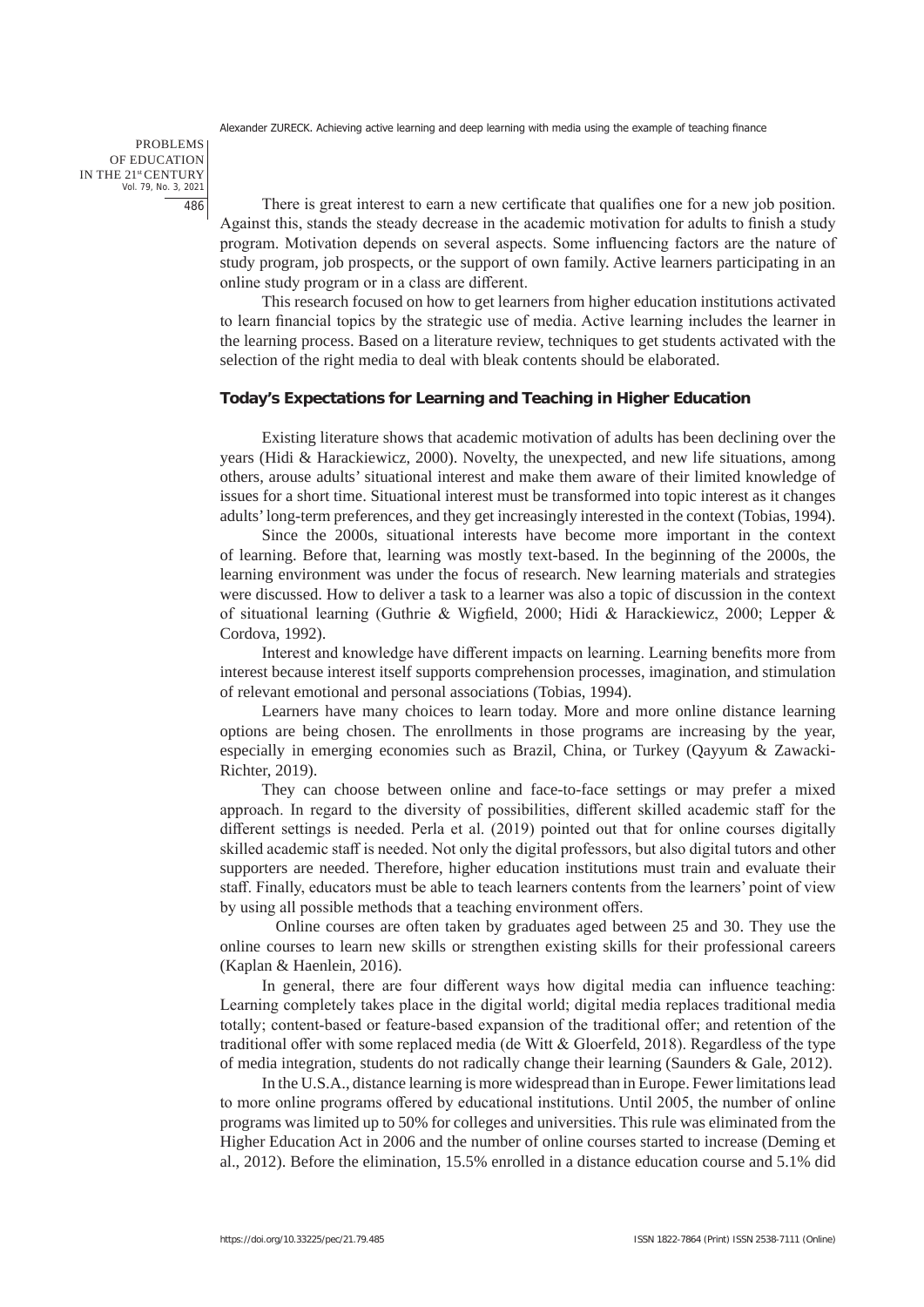PROBLEMS OF EDUCATION IN THE 21st CENTURY Vol. 79, No. 3, 2021 486

There is great interest to earn a new certificate that qualifies one for a new job position. Against this, stands the steady decrease in the academic motivation for adults to finish a study program. Motivation depends on several aspects. Some influencing factors are the nature of study program, job prospects, or the support of own family. Active learners participating in an online study program or in a class are different.

This research focused on how to get learners from higher education institutions activated to learn financial topics by the strategic use of media. Active learning includes the learner in the learning process. Based on a literature review, techniques to get students activated with the selection of the right media to deal with bleak contents should be elaborated.

# **Today's Expectations for Learning and Teaching in Higher Education**

Existing literature shows that academic motivation of adults has been declining over the years (Hidi & Harackiewicz, 2000). Novelty, the unexpected, and new life situations, among others, arouse adults' situational interest and make them aware of their limited knowledge of issues for a short time. Situational interest must be transformed into topic interest as it changes adults' long-term preferences, and they get increasingly interested in the context (Tobias, 1994).

Since the 2000s, situational interests have become more important in the context of learning. Before that, learning was mostly text-based. In the beginning of the 2000s, the learning environment was under the focus of research. New learning materials and strategies were discussed. How to deliver a task to a learner was also a topic of discussion in the context of situational learning (Guthrie & Wigfield, 2000; Hidi & Harackiewicz, 2000; Lepper & Cordova, 1992).

Interest and knowledge have different impacts on learning. Learning benefits more from interest because interest itself supports comprehension processes, imagination, and stimulation of relevant emotional and personal associations (Tobias, 1994).

Learners have many choices to learn today. More and more online distance learning options are being chosen. The enrollments in those programs are increasing by the year, especially in emerging economies such as Brazil, China, or Turkey (Qayyum & Zawacki-Richter, 2019).

They can choose between online and face-to-face settings or may prefer a mixed approach. In regard to the diversity of possibilities, different skilled academic staff for the different settings is needed. Perla et al. (2019) pointed out that for online courses digitally skilled academic staff is needed. Not only the digital professors, but also digital tutors and other supporters are needed. Therefore, higher education institutions must train and evaluate their staff. Finally, educators must be able to teach learners contents from the learners' point of view by using all possible methods that a teaching environment offers.

Online courses are often taken by graduates aged between 25 and 30. They use the online courses to learn new skills or strengthen existing skills for their professional careers (Kaplan & Haenlein, 2016).

In general, there are four different ways how digital media can influence teaching: Learning completely takes place in the digital world; digital media replaces traditional media totally; content-based or feature-based expansion of the traditional offer; and retention of the traditional offer with some replaced media (de Witt  $&ື Gloerfeld, 2018). Regardless of the type$ of media integration, students do not radically change their learning (Saunders & Gale, 2012).

In the U.S.A., distance learning is more widespread than in Europe. Fewer limitations lead to more online programs offered by educational institutions. Until 2005, the number of online programs was limited up to 50% for colleges and universities. This rule was eliminated from the Higher Education Act in 2006 and the number of online courses started to increase (Deming et al., 2012). Before the elimination, 15.5% enrolled in a distance education course and 5.1% did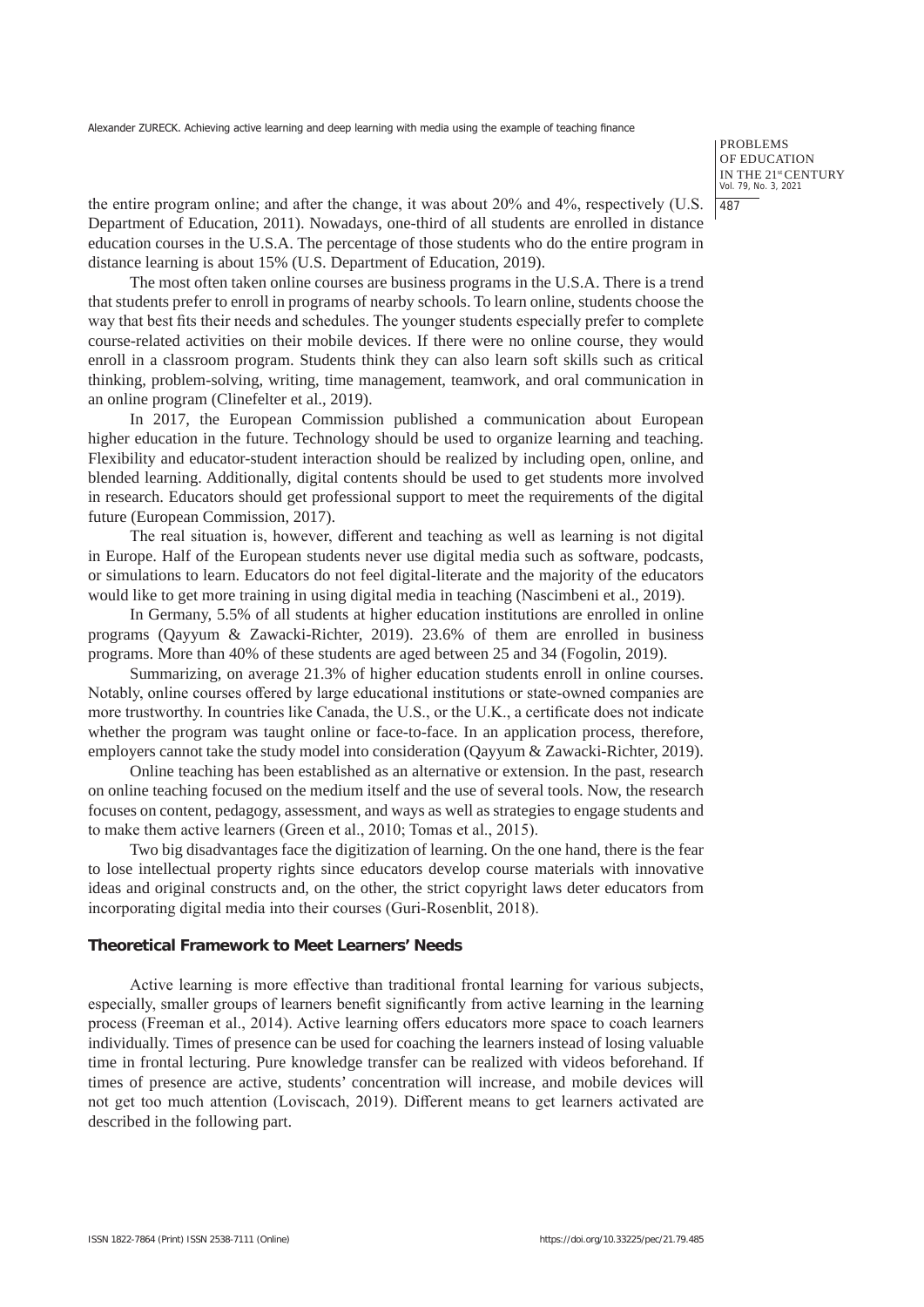PROBLEMS OF EDUCATION IN THE 21st CENTURY Vol. 79, No. 3, 2021 487

the entire program online; and after the change, it was about 20% and 4%, respectively (U.S. Department of Education, 2011). Nowadays, one-third of all students are enrolled in distance education courses in the U.S.A. The percentage of those students who do the entire program in distance learning is about 15% (U.S. Department of Education, 2019).

The most often taken online courses are business programs in the U.S.A. There is a trend that students prefer to enroll in programs of nearby schools. To learn online, students choose the way that best fits their needs and schedules. The younger students especially prefer to complete course-related activities on their mobile devices. If there were no online course, they would enroll in a classroom program. Students think they can also learn soft skills such as critical thinking, problem-solving, writing, time management, teamwork, and oral communication in an online program (Clinefelter et al., 2019).

In 2017, the European Commission published a communication about European higher education in the future. Technology should be used to organize learning and teaching. Flexibility and educator-student interaction should be realized by including open, online, and blended learning. Additionally, digital contents should be used to get students more involved in research. Educators should get professional support to meet the requirements of the digital future (European Commission, 2017).

The real situation is, however, different and teaching as well as learning is not digital in Europe. Half of the European students never use digital media such as software, podcasts, or simulations to learn. Educators do not feel digital-literate and the majority of the educators would like to get more training in using digital media in teaching (Nascimbeni et al., 2019).

In Germany, 5.5% of all students at higher education institutions are enrolled in online programs (Qayyum & Zawacki-Richter, 2019). 23.6% of them are enrolled in business programs. More than 40% of these students are aged between 25 and 34 (Fogolin, 2019).

Summarizing, on average 21.3% of higher education students enroll in online courses. Notably, online courses offered by large educational institutions or state-owned companies are more trustworthy. In countries like Canada, the U.S., or the U.K., a certificate does not indicate whether the program was taught online or face-to-face. In an application process, therefore, employers cannot take the study model into consideration (Qayyum & Zawacki-Richter, 2019).

Online teaching has been established as an alternative or extension. In the past, research on online teaching focused on the medium itself and the use of several tools. Now, the research focuses on content, pedagogy, assessment, and ways as well as strategies to engage students and to make them active learners (Green et al., 2010; Tomas et al., 2015).

Two big disadvantages face the digitization of learning. On the one hand, there is the fear to lose intellectual property rights since educators develop course materials with innovative ideas and original constructs and, on the other, the strict copyright laws deter educators from incorporating digital media into their courses (Guri-Rosenblit, 2018).

# **Theoretical Framework to Meet Learners' Needs**

Active learning is more effective than traditional frontal learning for various subjects, especially, smaller groups of learners benefit significantly from active learning in the learning process (Freeman et al., 2014). Active learning offers educators more space to coach learners individually. Times of presence can be used for coaching the learners instead of losing valuable time in frontal lecturing. Pure knowledge transfer can be realized with videos beforehand. If times of presence are active, students' concentration will increase, and mobile devices will not get too much attention (Loviscach, 2019). Different means to get learners activated are described in the following part.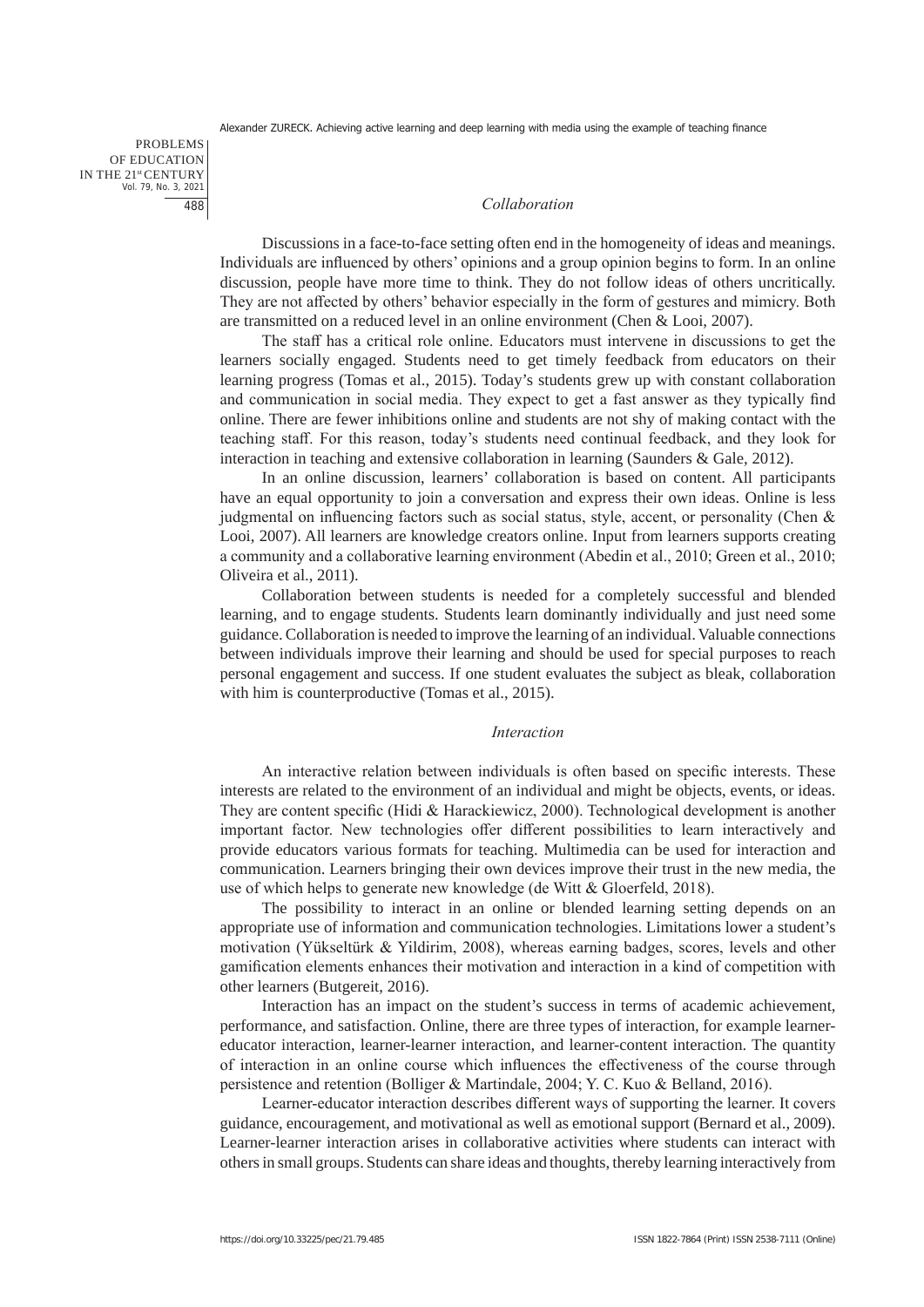PROBLEMS OF EDUCATION IN THE 21st CENTURY Vol. 79, No. 3, 2021 488

#### *Collaboration*

Discussions in a face-to-face setting often end in the homogeneity of ideas and meanings. Individuals are influenced by others' opinions and a group opinion begins to form. In an online discussion, people have more time to think. They do not follow ideas of others uncritically. They are not affected by others' behavior especially in the form of gestures and mimicry. Both are transmitted on a reduced level in an online environment (Chen & Looi, 2007).

The staff has a critical role online. Educators must intervene in discussions to get the learners socially engaged. Students need to get timely feedback from educators on their learning progress (Tomas et al., 2015). Today's students grew up with constant collaboration and communication in social media. They expect to get a fast answer as they typically find online. There are fewer inhibitions online and students are not shy of making contact with the teaching staff. For this reason, today's students need continual feedback, and they look for interaction in teaching and extensive collaboration in learning (Saunders & Gale, 2012).

In an online discussion, learners' collaboration is based on content. All participants have an equal opportunity to join a conversation and express their own ideas. Online is less judgmental on influencing factors such as social status, style, accent, or personality (Chen & Looi, 2007). All learners are knowledge creators online. Input from learners supports creating a community and a collaborative learning environment (Abedin et al., 2010; Green et al., 2010; Oliveira et al., 2011).

Collaboration between students is needed for a completely successful and blended learning, and to engage students. Students learn dominantly individually and just need some guidance. Collaboration is needed to improve the learning of an individual. Valuable connections between individuals improve their learning and should be used for special purposes to reach personal engagement and success. If one student evaluates the subject as bleak, collaboration with him is counterproductive (Tomas et al., 2015).

#### *Interaction*

An interactive relation between individuals is often based on specific interests. These interests are related to the environment of an individual and might be objects, events, or ideas. They are content specific (Hidi & Harackiewicz, 2000). Technological development is another important factor. New technologies offer different possibilities to learn interactively and provide educators various formats for teaching. Multimedia can be used for interaction and communication. Learners bringing their own devices improve their trust in the new media, the use of which helps to generate new knowledge (de Witt & Gloerfeld, 2018).

The possibility to interact in an online or blended learning setting depends on an appropriate use of information and communication technologies. Limitations lower a student's motivation (Yükseltürk & Yildirim, 2008), whereas earning badges, scores, levels and other gamification elements enhances their motivation and interaction in a kind of competition with other learners (Butgereit, 2016).

Interaction has an impact on the student's success in terms of academic achievement, performance, and satisfaction. Online, there are three types of interaction, for example learnereducator interaction, learner-learner interaction, and learner-content interaction. The quantity of interaction in an online course which influences the effectiveness of the course through persistence and retention (Bolliger & Martindale, 2004; Y. C. Kuo & Belland, 2016).

Learner-educator interaction describes different ways of supporting the learner. It covers guidance, encouragement, and motivational as well as emotional support (Bernard et al., 2009). Learner-learner interaction arises in collaborative activities where students can interact with others in small groups. Students can share ideas and thoughts, thereby learning interactively from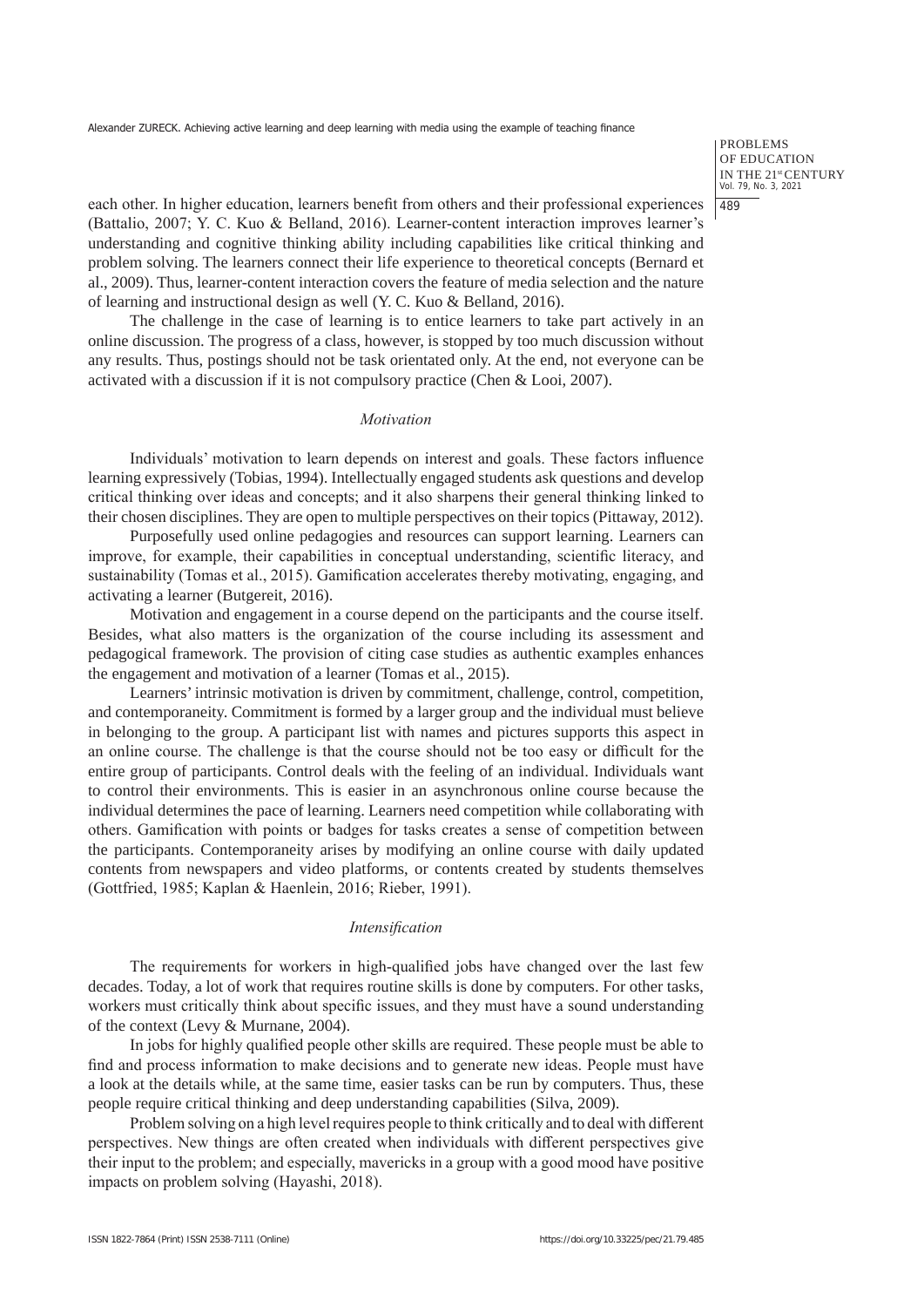PROBLEMS OF EDUCATION IN THE 21<sup>st</sup> CENTURY<br>Vol. 79, No. 3, 2021 489

each other. In higher education, learners benefit from others and their professional experiences (Battalio, 2007; Y. C. Kuo & Belland, 2016). Learner-content interaction improves learner's understanding and cognitive thinking ability including capabilities like critical thinking and problem solving. The learners connect their life experience to theoretical concepts (Bernard et al., 2009). Thus, learner-content interaction covers the feature of media selection and the nature of learning and instructional design as well (Y. C. Kuo & Belland, 2016).

The challenge in the case of learning is to entice learners to take part actively in an online discussion. The progress of a class, however, is stopped by too much discussion without any results. Thus, postings should not be task orientated only. At the end, not everyone can be activated with a discussion if it is not compulsory practice (Chen & Looi, 2007).

# *Motivation*

Individuals' motivation to learn depends on interest and goals. These factors influence learning expressively (Tobias, 1994). Intellectually engaged students ask questions and develop critical thinking over ideas and concepts; and it also sharpens their general thinking linked to their chosen disciplines. They are open to multiple perspectives on their topics (Pittaway, 2012).

Purposefully used online pedagogies and resources can support learning. Learners can improve, for example, their capabilities in conceptual understanding, scientific literacy, and sustainability (Tomas et al., 2015). Gamification accelerates thereby motivating, engaging, and activating a learner (Butgereit, 2016).

Motivation and engagement in a course depend on the participants and the course itself. Besides, what also matters is the organization of the course including its assessment and pedagogical framework. The provision of citing case studies as authentic examples enhances the engagement and motivation of a learner (Tomas et al., 2015).

Learners' intrinsic motivation is driven by commitment, challenge, control, competition, and contemporaneity. Commitment is formed by a larger group and the individual must believe in belonging to the group. A participant list with names and pictures supports this aspect in an online course. The challenge is that the course should not be too easy or difficult for the entire group of participants. Control deals with the feeling of an individual. Individuals want to control their environments. This is easier in an asynchronous online course because the individual determines the pace of learning. Learners need competition while collaborating with others. Gamification with points or badges for tasks creates a sense of competition between the participants. Contemporaneity arises by modifying an online course with daily updated contents from newspapers and video platforms, or contents created by students themselves (Gottfried, 1985; Kaplan & Haenlein, 2016; Rieber, 1991).

# *Intensification*

The requirements for workers in high-qualified jobs have changed over the last few decades. Today, a lot of work that requires routine skills is done by computers. For other tasks, workers must critically think about specific issues, and they must have a sound understanding of the context (Levy & Murnane, 2004).

In jobs for highly qualified people other skills are required. These people must be able to find and process information to make decisions and to generate new ideas. People must have a look at the details while, at the same time, easier tasks can be run by computers. Thus, these people require critical thinking and deep understanding capabilities (Silva, 2009).

Problem solving on a high level requires people to think critically and to deal with different perspectives. New things are often created when individuals with different perspectives give their input to the problem; and especially, mavericks in a group with a good mood have positive impacts on problem solving (Hayashi, 2018).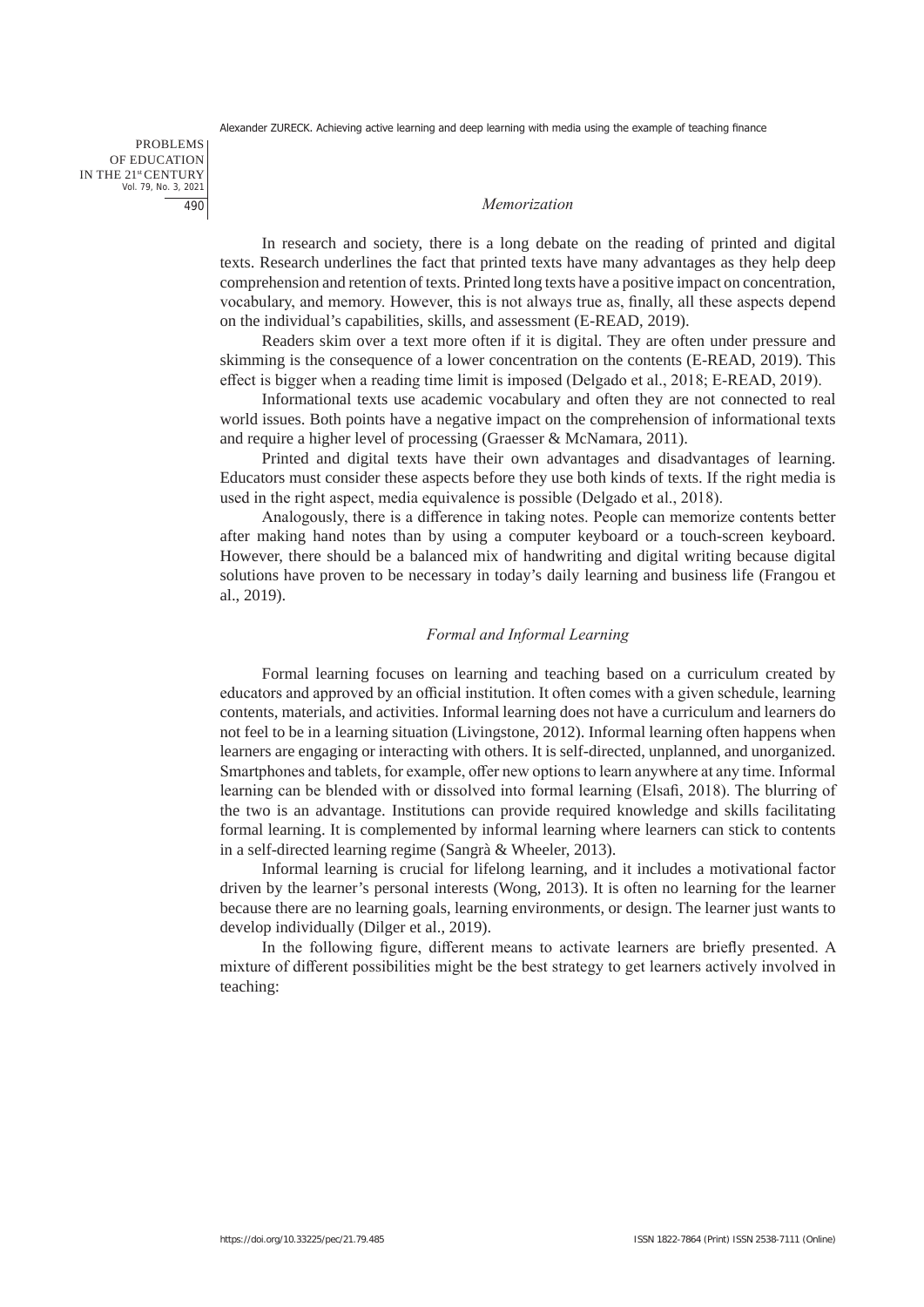PROBLEMS OF EDUCATION IN THE 21st CENTURY Vol. 79, No. 3, 2021 490

#### *Memorization*

In research and society, there is a long debate on the reading of printed and digital texts. Research underlines the fact that printed texts have many advantages as they help deep comprehension and retention of texts. Printed long texts have a positive impact on concentration, vocabulary, and memory. However, this is not always true as, finally, all these aspects depend on the individual's capabilities, skills, and assessment (E-READ, 2019).

Readers skim over a text more often if it is digital. They are often under pressure and skimming is the consequence of a lower concentration on the contents (E-READ, 2019). This effect is bigger when a reading time limit is imposed (Delgado et al., 2018; E-READ, 2019).

Informational texts use academic vocabulary and often they are not connected to real world issues. Both points have a negative impact on the comprehension of informational texts and require a higher level of processing (Graesser & McNamara, 2011).

Printed and digital texts have their own advantages and disadvantages of learning. Educators must consider these aspects before they use both kinds of texts. If the right media is used in the right aspect, media equivalence is possible (Delgado et al., 2018).

Analogously, there is a difference in taking notes. People can memorize contents better after making hand notes than by using a computer keyboard or a touch-screen keyboard. However, there should be a balanced mix of handwriting and digital writing because digital solutions have proven to be necessary in today's daily learning and business life (Frangou et al., 2019).

# *Formal and Informal Learning*

Formal learning focuses on learning and teaching based on a curriculum created by educators and approved by an official institution. It often comes with a given schedule, learning contents, materials, and activities. Informal learning does not have a curriculum and learners do not feel to be in a learning situation (Livingstone, 2012). Informal learning often happens when learners are engaging or interacting with others. It is self-directed, unplanned, and unorganized. Smartphones and tablets, for example, offer new options to learn anywhere at any time. Informal learning can be blended with or dissolved into formal learning (Elsafi, 2018). The blurring of the two is an advantage. Institutions can provide required knowledge and skills facilitating formal learning. It is complemented by informal learning where learners can stick to contents in a self-directed learning regime (Sangrà & Wheeler, 2013).

Informal learning is crucial for lifelong learning, and it includes a motivational factor driven by the learner's personal interests (Wong, 2013). It is often no learning for the learner because there are no learning goals, learning environments, or design. The learner just wants to develop individually (Dilger et al., 2019).

In the following figure, different means to activate learners are briefly presented. A mixture of different possibilities might be the best strategy to get learners actively involved in teaching: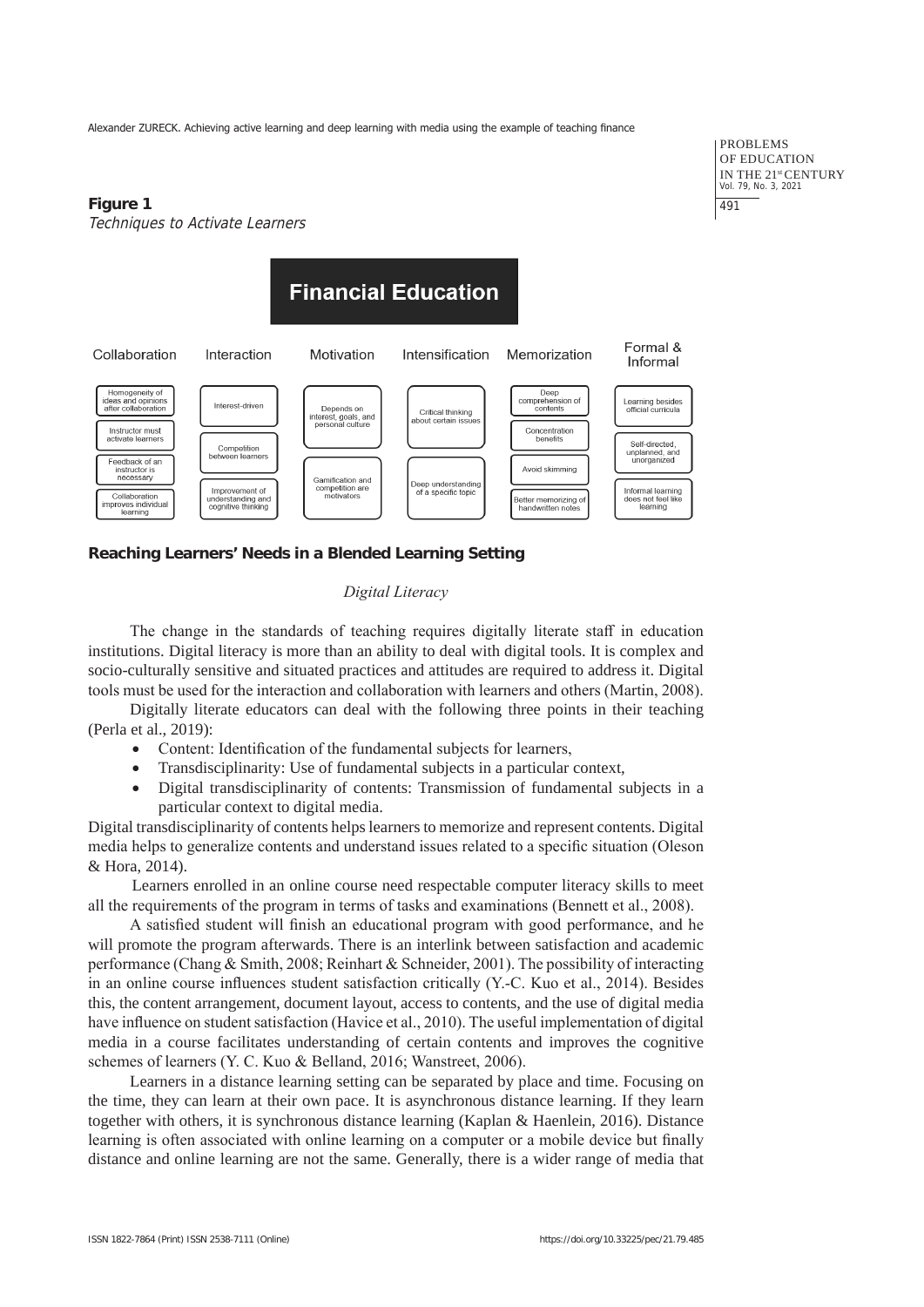# **Figure 1** Techniques to Activate Learners

PROBLEMS OF EDUCATION IN THE 21st CENTURY Vol. 79, No. 3, 2021 491



# **Reaching Learners' Needs in a Blended Learning Setting**

# *Digital Literacy*

The change in the standards of teaching requires digitally literate staff in education institutions. Digital literacy is more than an ability to deal with digital tools. It is complex and socio-culturally sensitive and situated practices and attitudes are required to address it. Digital tools must be used for the interaction and collaboration with learners and others (Martin, 2008).

Digitally literate educators can deal with the following three points in their teaching (Perla et al., 2019):

- Content: Identification of the fundamental subjects for learners,
- Transdisciplinarity: Use of fundamental subjects in a particular context,
- Digital transdisciplinarity of contents: Transmission of fundamental subjects in a particular context to digital media.

Digital transdisciplinarity of contents helps learners to memorize and represent contents. Digital media helps to generalize contents and understand issues related to a specific situation (Oleson & Hora, 2014).

Learners enrolled in an online course need respectable computer literacy skills to meet all the requirements of the program in terms of tasks and examinations (Bennett et al., 2008).

A satisfied student will finish an educational program with good performance, and he will promote the program afterwards. There is an interlink between satisfaction and academic performance (Chang & Smith, 2008; Reinhart & Schneider, 2001). The possibility of interacting in an online course influences student satisfaction critically (Y.-C. Kuo et al., 2014). Besides this, the content arrangement, document layout, access to contents, and the use of digital media have influence on student satisfaction (Havice et al., 2010). The useful implementation of digital media in a course facilitates understanding of certain contents and improves the cognitive schemes of learners (Y. C. Kuo & Belland, 2016; Wanstreet, 2006).

Learners in a distance learning setting can be separated by place and time. Focusing on the time, they can learn at their own pace. It is asynchronous distance learning. If they learn together with others, it is synchronous distance learning (Kaplan & Haenlein, 2016). Distance learning is often associated with online learning on a computer or a mobile device but finally distance and online learning are not the same. Generally, there is a wider range of media that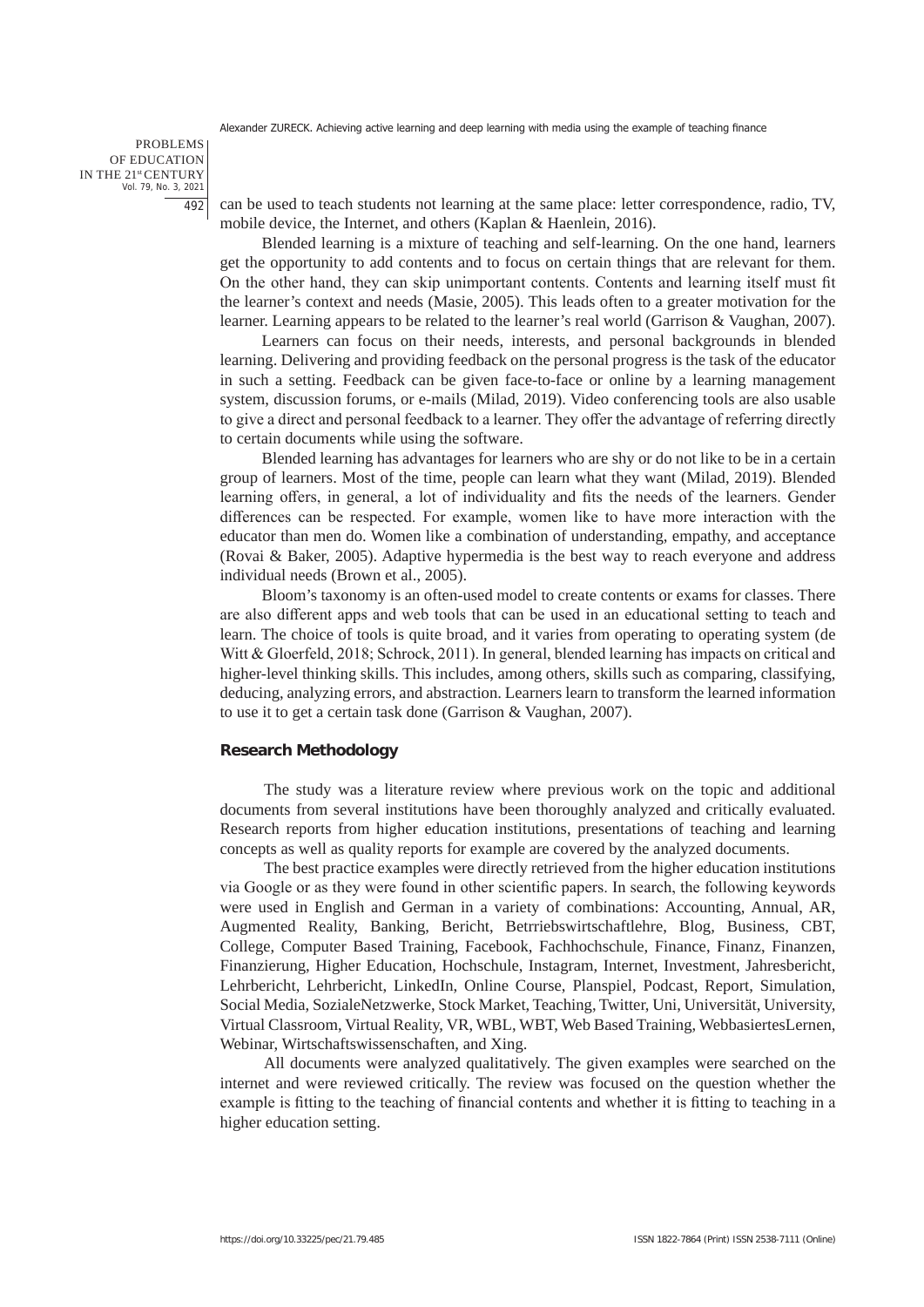PROBLEMS OF EDUCATION IN THE 21st CENTURY Vol. 79, No. 3, 2021 492

can be used to teach students not learning at the same place: letter correspondence, radio, TV, mobile device, the Internet, and others (Kaplan & Haenlein, 2016).

Blended learning is a mixture of teaching and self-learning. On the one hand, learners get the opportunity to add contents and to focus on certain things that are relevant for them. On the other hand, they can skip unimportant contents. Contents and learning itself must fit the learner's context and needs (Masie, 2005). This leads often to a greater motivation for the learner. Learning appears to be related to the learner's real world (Garrison & Vaughan, 2007).

Learners can focus on their needs, interests, and personal backgrounds in blended learning. Delivering and providing feedback on the personal progress is the task of the educator in such a setting. Feedback can be given face-to-face or online by a learning management system, discussion forums, or e-mails (Milad, 2019). Video conferencing tools are also usable to give a direct and personal feedback to a learner. They offer the advantage of referring directly to certain documents while using the software.

Blended learning has advantages for learners who are shy or do not like to be in a certain group of learners. Most of the time, people can learn what they want (Milad, 2019). Blended learning offers, in general, a lot of individuality and fits the needs of the learners. Gender differences can be respected. For example, women like to have more interaction with the educator than men do. Women like a combination of understanding, empathy, and acceptance (Rovai & Baker, 2005). Adaptive hypermedia is the best way to reach everyone and address individual needs (Brown et al., 2005).

Bloom's taxonomy is an often-used model to create contents or exams for classes. There are also different apps and web tools that can be used in an educational setting to teach and learn. The choice of tools is quite broad, and it varies from operating to operating system (de Witt & Gloerfeld, 2018; Schrock, 2011). In general, blended learning has impacts on critical and higher-level thinking skills. This includes, among others, skills such as comparing, classifying, deducing, analyzing errors, and abstraction. Learners learn to transform the learned information to use it to get a certain task done (Garrison & Vaughan, 2007).

#### **Research Methodology**

The study was a literature review where previous work on the topic and additional documents from several institutions have been thoroughly analyzed and critically evaluated. Research reports from higher education institutions, presentations of teaching and learning concepts as well as quality reports for example are covered by the analyzed documents.

The best practice examples were directly retrieved from the higher education institutions via Google or as they were found in other scientific papers. In search, the following keywords were used in English and German in a variety of combinations: Accounting, Annual, AR, Augmented Reality, Banking, Bericht, Betrriebswirtschaftlehre, Blog, Business, CBT, College, Computer Based Training, Facebook, Fachhochschule, Finance, Finanz, Finanzen, Finanzierung, Higher Education, Hochschule, Instagram, Internet, Investment, Jahresbericht, Lehrbericht, Lehrbericht, LinkedIn, Online Course, Planspiel, Podcast, Report, Simulation, Social Media, SozialeNetzwerke, Stock Market, Teaching, Twitter, Uni, Universität, University, Virtual Classroom, Virtual Reality, VR, WBL, WBT, Web Based Training, WebbasiertesLernen, Webinar, Wirtschaftswissenschaften, and Xing.

All documents were analyzed qualitatively. The given examples were searched on the internet and were reviewed critically. The review was focused on the question whether the example is fitting to the teaching of financial contents and whether it is fitting to teaching in a higher education setting.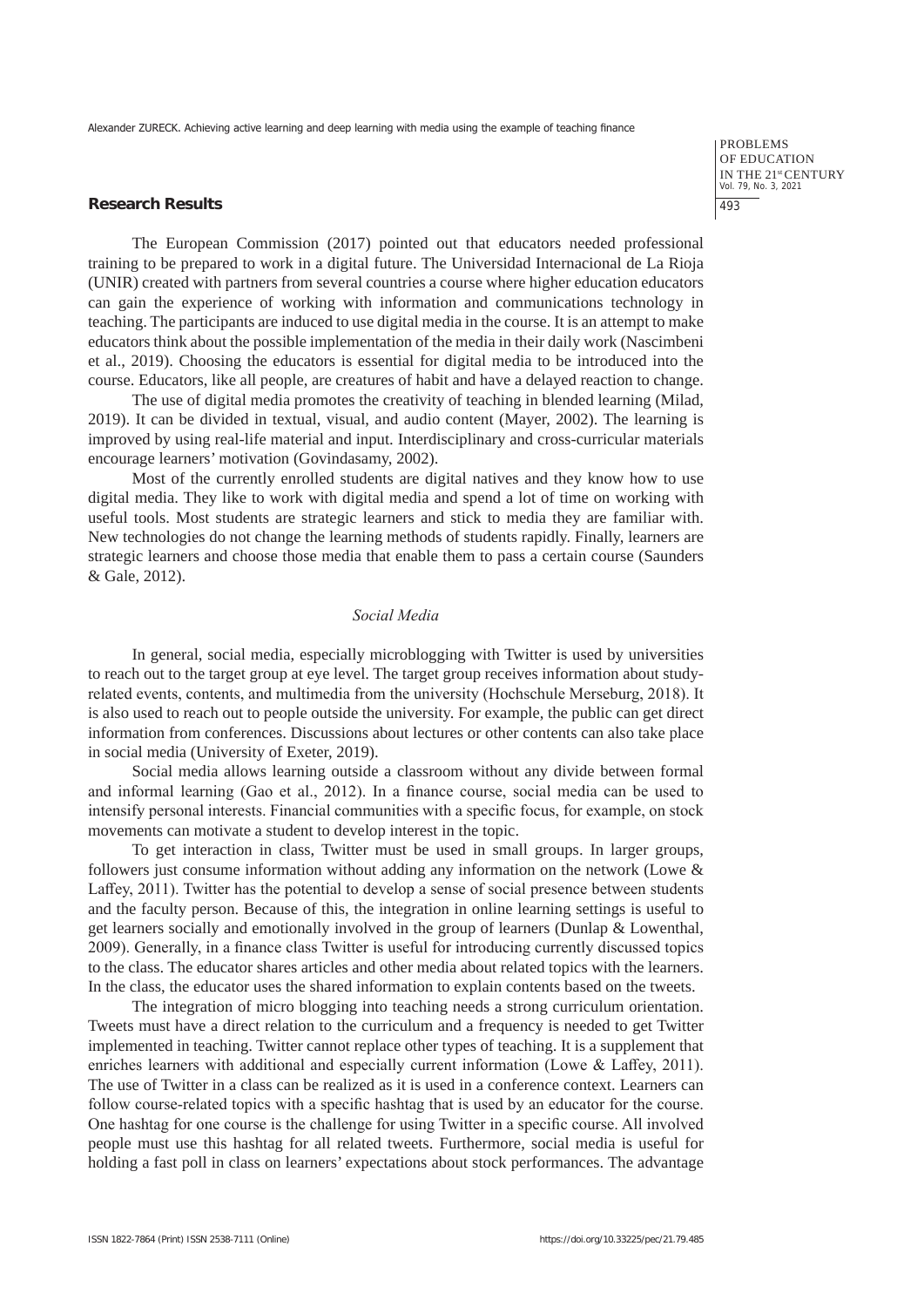#### **Research Results**

The European Commission (2017) pointed out that educators needed professional training to be prepared to work in a digital future. The Universidad Internacional de La Rioja (UNIR) created with partners from several countries a course where higher education educators can gain the experience of working with information and communications technology in teaching. The participants are induced to use digital media in the course. It is an attempt to make educators think about the possible implementation of the media in their daily work (Nascimbeni et al., 2019). Choosing the educators is essential for digital media to be introduced into the course. Educators, like all people, are creatures of habit and have a delayed reaction to change.

The use of digital media promotes the creativity of teaching in blended learning (Milad, 2019). It can be divided in textual, visual, and audio content (Mayer, 2002). The learning is improved by using real-life material and input. Interdisciplinary and cross-curricular materials encourage learners' motivation (Govindasamy, 2002).

Most of the currently enrolled students are digital natives and they know how to use digital media. They like to work with digital media and spend a lot of time on working with useful tools. Most students are strategic learners and stick to media they are familiar with. New technologies do not change the learning methods of students rapidly. Finally, learners are strategic learners and choose those media that enable them to pass a certain course (Saunders & Gale, 2012).

# *Social Media*

In general, social media, especially microblogging with Twitter is used by universities to reach out to the target group at eye level. The target group receives information about studyrelated events, contents, and multimedia from the university (Hochschule Merseburg, 2018). It is also used to reach out to people outside the university. For example, the public can get direct information from conferences. Discussions about lectures or other contents can also take place in social media (University of Exeter, 2019).

Social media allows learning outside a classroom without any divide between formal and informal learning (Gao et al., 2012). In a finance course, social media can be used to intensify personal interests. Financial communities with a specific focus, for example, on stock movements can motivate a student to develop interest in the topic.

To get interaction in class, Twitter must be used in small groups. In larger groups, followers just consume information without adding any information on the network (Lowe & Laffey, 2011). Twitter has the potential to develop a sense of social presence between students and the faculty person. Because of this, the integration in online learning settings is useful to get learners socially and emotionally involved in the group of learners (Dunlap & Lowenthal, 2009). Generally, in a finance class Twitter is useful for introducing currently discussed topics to the class. The educator shares articles and other media about related topics with the learners. In the class, the educator uses the shared information to explain contents based on the tweets.

The integration of micro blogging into teaching needs a strong curriculum orientation. Tweets must have a direct relation to the curriculum and a frequency is needed to get Twitter implemented in teaching. Twitter cannot replace other types of teaching. It is a supplement that enriches learners with additional and especially current information (Lowe & Laffey, 2011). The use of Twitter in a class can be realized as it is used in a conference context. Learners can follow course-related topics with a specific hashtag that is used by an educator for the course. One hashtag for one course is the challenge for using Twitter in a specific course. All involved people must use this hashtag for all related tweets. Furthermore, social media is useful for holding a fast poll in class on learners' expectations about stock performances. The advantage

PROBLEMS OF EDUCATION IN THE 21st CENTURY Vol. 79, No. 3, 2021 493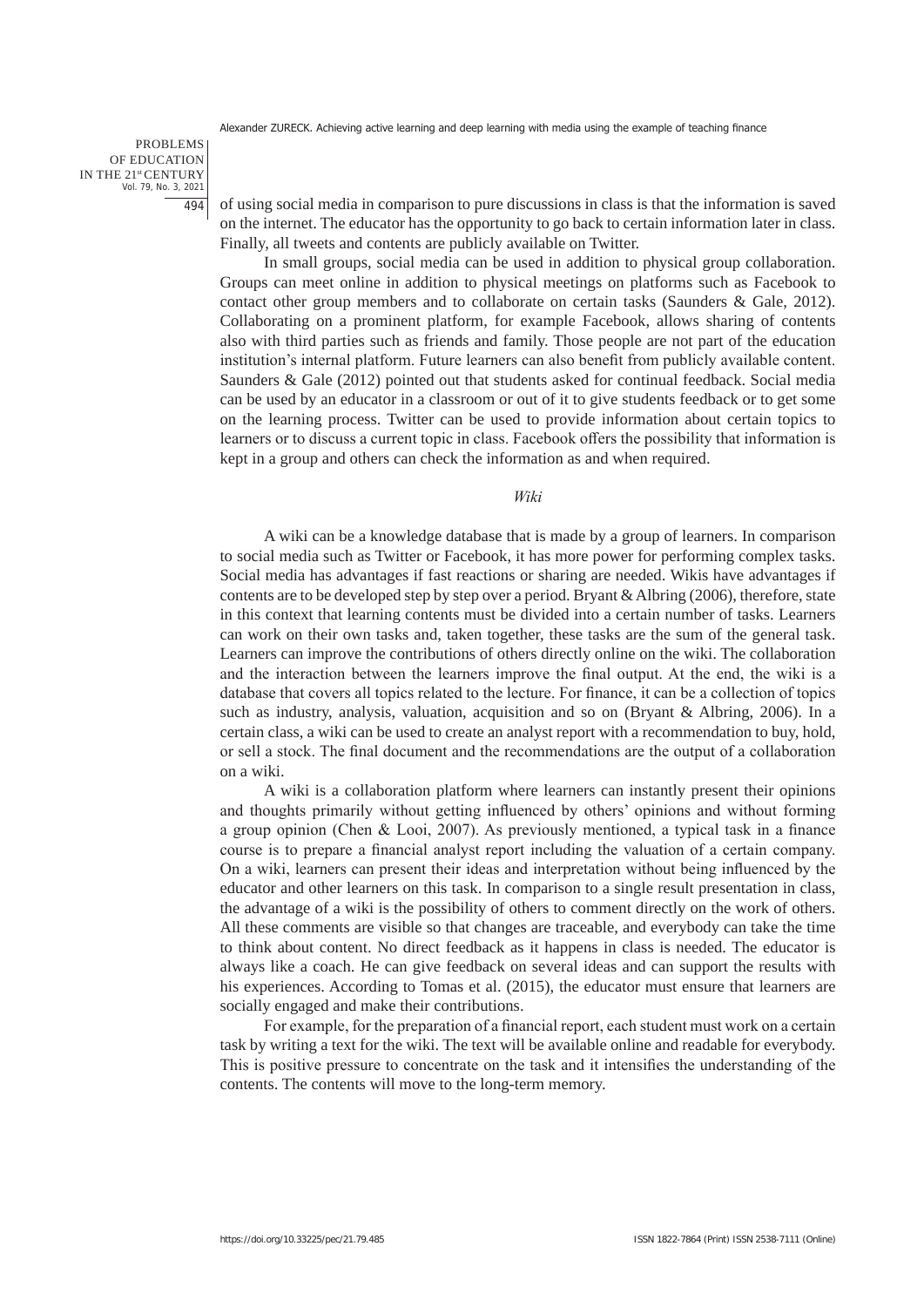PROBLEMS OF EDUCATION IN THE 21st CENTURY Vol. 79, No. 3, 2021 494

of using social media in comparison to pure discussions in class is that the information is saved on the internet. The educator has the opportunity to go back to certain information later in class. Finally, all tweets and contents are publicly available on Twitter.

In small groups, social media can be used in addition to physical group collaboration. Groups can meet online in addition to physical meetings on platforms such as Facebook to contact other group members and to collaborate on certain tasks (Saunders & Gale, 2012). Collaborating on a prominent platform, for example Facebook, allows sharing of contents also with third parties such as friends and family. Those people are not part of the education institution's internal platform. Future learners can also benefit from publicly available content. Saunders & Gale (2012) pointed out that students asked for continual feedback. Social media can be used by an educator in a classroom or out of it to give students feedback or to get some on the learning process. Twitter can be used to provide information about certain topics to learners or to discuss a current topic in class. Facebook offers the possibility that information is kept in a group and others can check the information as and when required.

*Wiki*

A wiki can be a knowledge database that is made by a group of learners. In comparison to social media such as Twitter or Facebook, it has more power for performing complex tasks. Social media has advantages if fast reactions or sharing are needed. Wikis have advantages if contents are to be developed step by step over a period. Bryant  $\&$  Albring (2006), therefore, state in this context that learning contents must be divided into a certain number of tasks. Learners can work on their own tasks and, taken together, these tasks are the sum of the general task. Learners can improve the contributions of others directly online on the wiki. The collaboration and the interaction between the learners improve the final output. At the end, the wiki is a database that covers all topics related to the lecture. For finance, it can be a collection of topics such as industry, analysis, valuation, acquisition and so on (Bryant & Albring, 2006). In a certain class, a wiki can be used to create an analyst report with a recommendation to buy, hold, or sell a stock. The final document and the recommendations are the output of a collaboration on a wiki.

A wiki is a collaboration platform where learners can instantly present their opinions and thoughts primarily without getting influenced by others' opinions and without forming a group opinion (Chen & Looi, 2007). As previously mentioned, a typical task in a finance course is to prepare a financial analyst report including the valuation of a certain company. On a wiki, learners can present their ideas and interpretation without being influenced by the educator and other learners on this task. In comparison to a single result presentation in class, the advantage of a wiki is the possibility of others to comment directly on the work of others. All these comments are visible so that changes are traceable, and everybody can take the time to think about content. No direct feedback as it happens in class is needed. The educator is always like a coach. He can give feedback on several ideas and can support the results with his experiences. According to Tomas et al. (2015), the educator must ensure that learners are socially engaged and make their contributions.

For example, for the preparation of a financial report, each student must work on a certain task by writing a text for the wiki. The text will be available online and readable for everybody. This is positive pressure to concentrate on the task and it intensifies the understanding of the contents. The contents will move to the long-term memory.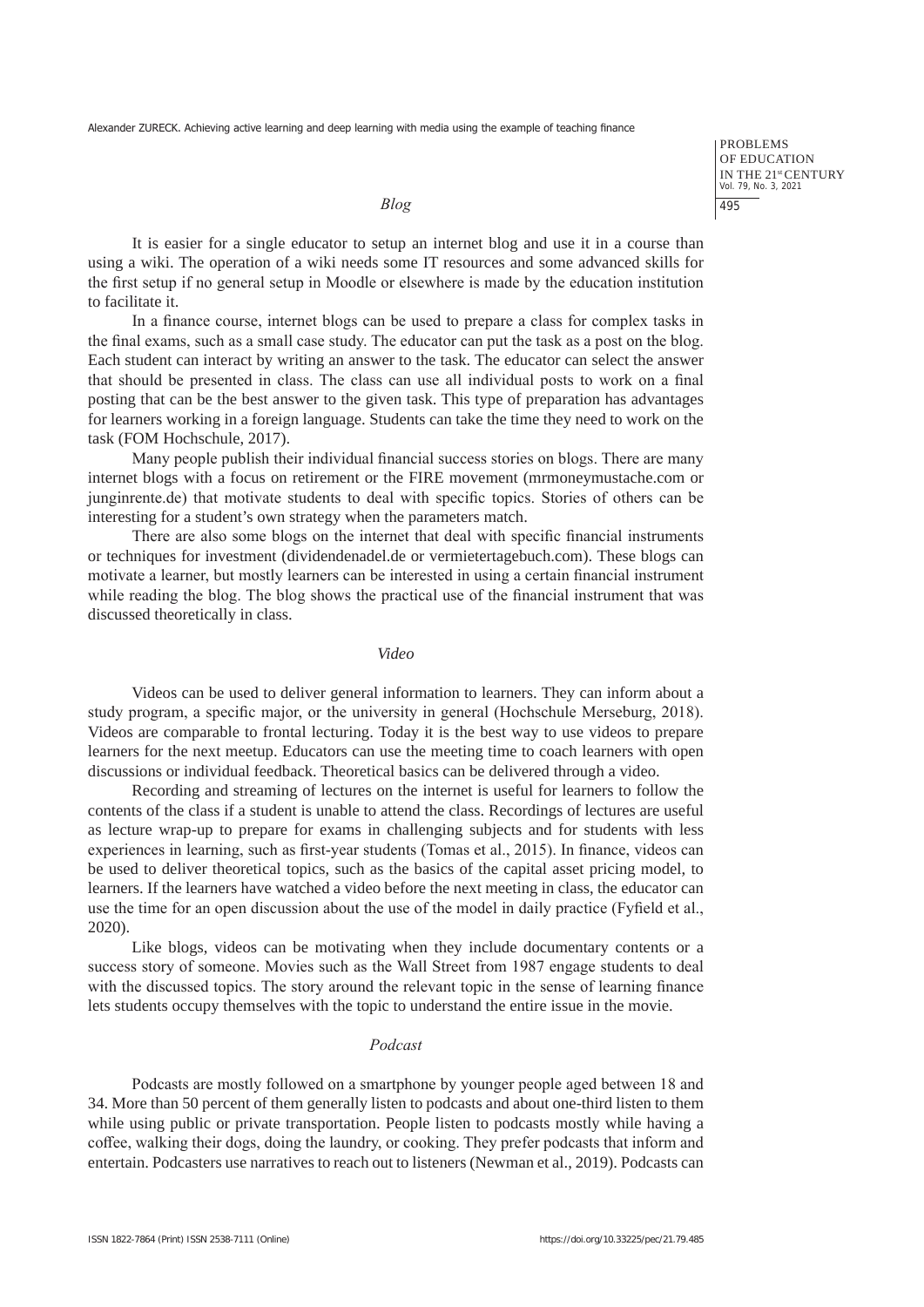PROBLEMS OF EDUCATION IN THE 21st CENTURY Vol. 79, No. 3, 2021 495

#### *Blog*

It is easier for a single educator to setup an internet blog and use it in a course than using a wiki. The operation of a wiki needs some IT resources and some advanced skills for the first setup if no general setup in Moodle or elsewhere is made by the education institution to facilitate it.

In a finance course, internet blogs can be used to prepare a class for complex tasks in the final exams, such as a small case study. The educator can put the task as a post on the blog. Each student can interact by writing an answer to the task. The educator can select the answer that should be presented in class. The class can use all individual posts to work on a final posting that can be the best answer to the given task. This type of preparation has advantages for learners working in a foreign language. Students can take the time they need to work on the task (FOM Hochschule, 2017).

Many people publish their individual financial success stories on blogs. There are many internet blogs with a focus on retirement or the FIRE movement (mrmoneymustache.com or junginrente.de) that motivate students to deal with specific topics. Stories of others can be interesting for a student's own strategy when the parameters match.

There are also some blogs on the internet that deal with specific financial instruments or techniques for investment (dividendenadel.de or vermietertagebuch.com). These blogs can motivate a learner, but mostly learners can be interested in using a certain financial instrument while reading the blog. The blog shows the practical use of the financial instrument that was discussed theoretically in class.

*Video*

Videos can be used to deliver general information to learners. They can inform about a study program, a specific major, or the university in general (Hochschule Merseburg, 2018). Videos are comparable to frontal lecturing. Today it is the best way to use videos to prepare learners for the next meetup. Educators can use the meeting time to coach learners with open discussions or individual feedback. Theoretical basics can be delivered through a video.

Recording and streaming of lectures on the internet is useful for learners to follow the contents of the class if a student is unable to attend the class. Recordings of lectures are useful as lecture wrap-up to prepare for exams in challenging subjects and for students with less experiences in learning, such as first-year students (Tomas et al., 2015). In finance, videos can be used to deliver theoretical topics, such as the basics of the capital asset pricing model, to learners. If the learners have watched a video before the next meeting in class, the educator can use the time for an open discussion about the use of the model in daily practice (Fyfield et al., 2020).

Like blogs, videos can be motivating when they include documentary contents or a success story of someone. Movies such as the Wall Street from 1987 engage students to deal with the discussed topics. The story around the relevant topic in the sense of learning finance lets students occupy themselves with the topic to understand the entire issue in the movie.

#### *Podcast*

Podcasts are mostly followed on a smartphone by younger people aged between 18 and 34. More than 50 percent of them generally listen to podcasts and about one-third listen to them while using public or private transportation. People listen to podcasts mostly while having a coffee, walking their dogs, doing the laundry, or cooking. They prefer podcasts that inform and entertain. Podcasters use narratives to reach out to listeners (Newman et al., 2019). Podcasts can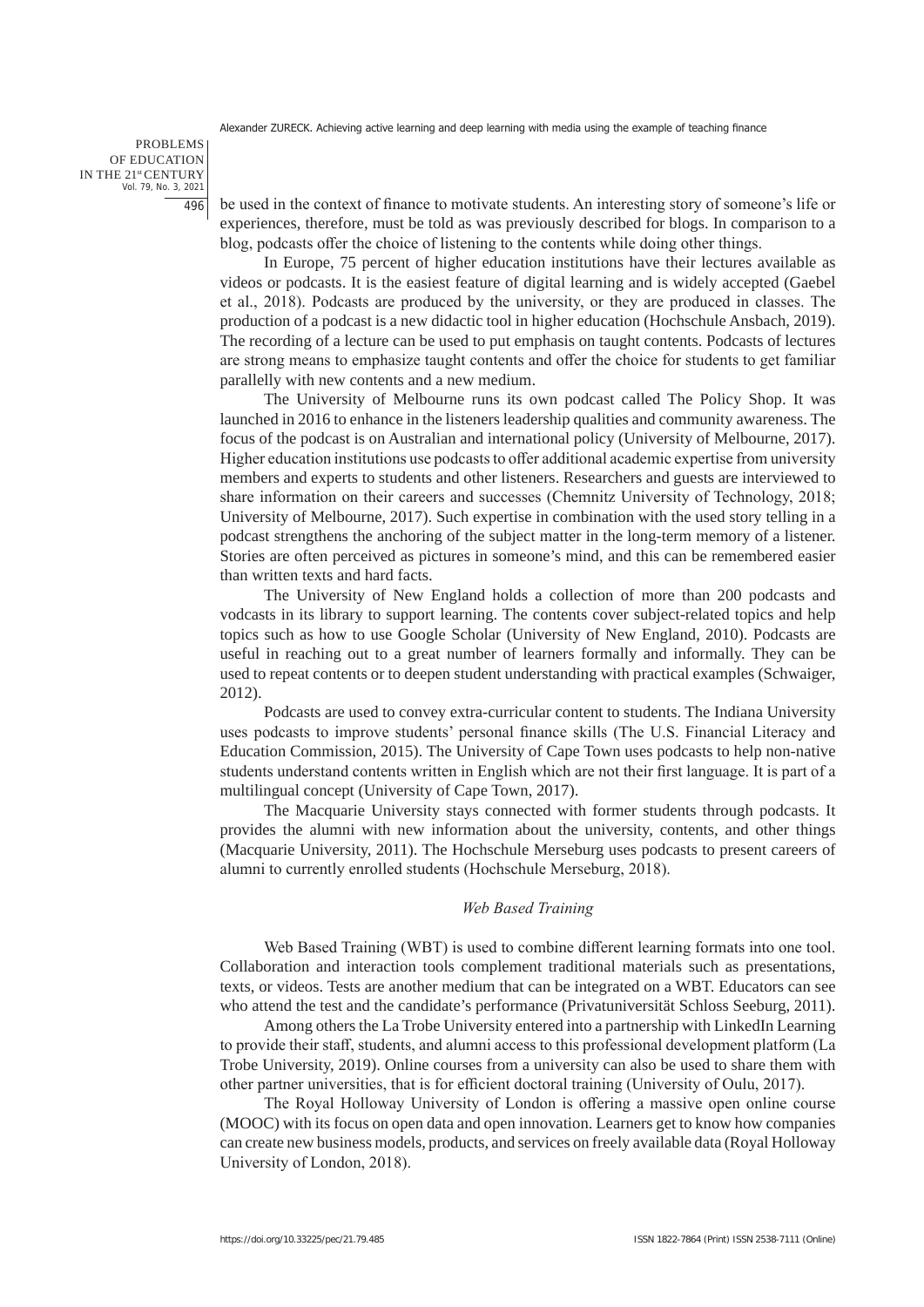PROBLEMS OF EDUCATION IN THE 21st CENTURY Vol. 79, No. 3, 2021 496

be used in the context of finance to motivate students. An interesting story of someone's life or experiences, therefore, must be told as was previously described for blogs. In comparison to a blog, podcasts offer the choice of listening to the contents while doing other things.

In Europe, 75 percent of higher education institutions have their lectures available as videos or podcasts. It is the easiest feature of digital learning and is widely accepted (Gaebel et al., 2018). Podcasts are produced by the university, or they are produced in classes. The production of a podcast is a new didactic tool in higher education (Hochschule Ansbach, 2019). The recording of a lecture can be used to put emphasis on taught contents. Podcasts of lectures are strong means to emphasize taught contents and offer the choice for students to get familiar parallelly with new contents and a new medium.

The University of Melbourne runs its own podcast called The Policy Shop. It was launched in 2016 to enhance in the listeners leadership qualities and community awareness. The focus of the podcast is on Australian and international policy (University of Melbourne, 2017). Higher education institutions use podcasts to offer additional academic expertise from university members and experts to students and other listeners. Researchers and guests are interviewed to share information on their careers and successes (Chemnitz University of Technology, 2018; University of Melbourne, 2017). Such expertise in combination with the used story telling in a podcast strengthens the anchoring of the subject matter in the long-term memory of a listener. Stories are often perceived as pictures in someone's mind, and this can be remembered easier than written texts and hard facts.

The University of New England holds a collection of more than 200 podcasts and vodcasts in its library to support learning. The contents cover subject-related topics and help topics such as how to use Google Scholar (University of New England, 2010). Podcasts are useful in reaching out to a great number of learners formally and informally. They can be used to repeat contents or to deepen student understanding with practical examples (Schwaiger, 2012).

Podcasts are used to convey extra-curricular content to students. The Indiana University uses podcasts to improve students' personal finance skills (The U.S. Financial Literacy and Education Commission, 2015). The University of Cape Town uses podcasts to help non-native students understand contents written in English which are not their first language. It is part of a multilingual concept (University of Cape Town, 2017).

The Macquarie University stays connected with former students through podcasts. It provides the alumni with new information about the university, contents, and other things (Macquarie University, 2011). The Hochschule Merseburg uses podcasts to present careers of alumni to currently enrolled students (Hochschule Merseburg, 2018).

### *Web Based Training*

Web Based Training (WBT) is used to combine different learning formats into one tool. Collaboration and interaction tools complement traditional materials such as presentations, texts, or videos. Tests are another medium that can be integrated on a WBT. Educators can see who attend the test and the candidate's performance (Privatuniversität Schloss Seeburg, 2011).

Among others the La Trobe University entered into a partnership with LinkedIn Learning to provide their staff, students, and alumni access to this professional development platform (La Trobe University, 2019). Online courses from a university can also be used to share them with other partner universities, that is for efficient doctoral training (University of Oulu, 2017).

The Royal Holloway University of London is offering a massive open online course (MOOC) with its focus on open data and open innovation. Learners get to know how companies can create new business models, products, and services on freely available data (Royal Holloway University of London, 2018).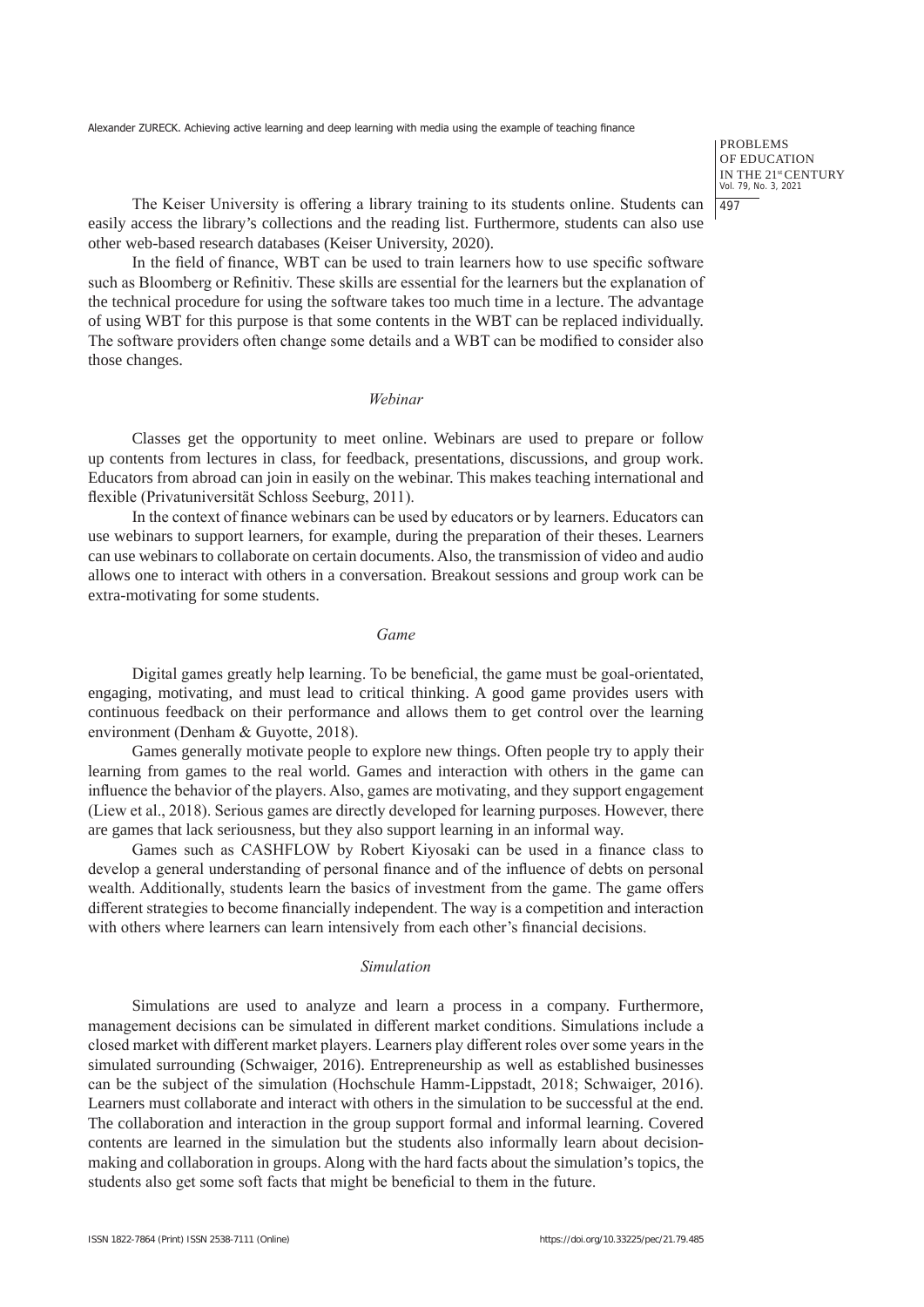PROBLEMS OF EDUCATION IN THE 21<sup>st</sup> CENTURY<br>Vol. 79, No. 3, 2021 497

The Keiser University is offering a library training to its students online. Students can easily access the library's collections and the reading list. Furthermore, students can also use other web-based research databases (Keiser University, 2020).

In the field of finance, WBT can be used to train learners how to use specific software such as Bloomberg or Refinitiv. These skills are essential for the learners but the explanation of the technical procedure for using the software takes too much time in a lecture. The advantage of using WBT for this purpose is that some contents in the WBT can be replaced individually. The software providers often change some details and a WBT can be modified to consider also those changes.

# *Webinar*

Classes get the opportunity to meet online. Webinars are used to prepare or follow up contents from lectures in class, for feedback, presentations, discussions, and group work. Educators from abroad can join in easily on the webinar. This makes teaching international and flexible (Privatuniversität Schloss Seeburg, 2011).

In the context of finance webinars can be used by educators or by learners. Educators can use webinars to support learners, for example, during the preparation of their theses. Learners can use webinars to collaborate on certain documents. Also, the transmission of video and audio allows one to interact with others in a conversation. Breakout sessions and group work can be extra-motivating for some students.

### *Game*

Digital games greatly help learning. To be beneficial, the game must be goal-orientated, engaging, motivating, and must lead to critical thinking. A good game provides users with continuous feedback on their performance and allows them to get control over the learning environment (Denham & Guyotte, 2018).

Games generally motivate people to explore new things. Often people try to apply their learning from games to the real world. Games and interaction with others in the game can influence the behavior of the players. Also, games are motivating, and they support engagement (Liew et al., 2018). Serious games are directly developed for learning purposes. However, there are games that lack seriousness, but they also support learning in an informal way.

Games such as CASHFLOW by Robert Kiyosaki can be used in a finance class to develop a general understanding of personal finance and of the influence of debts on personal wealth. Additionally, students learn the basics of investment from the game. The game offers different strategies to become financially independent. The way is a competition and interaction with others where learners can learn intensively from each other's financial decisions.

#### *Simulation*

Simulations are used to analyze and learn a process in a company. Furthermore, management decisions can be simulated in different market conditions. Simulations include a closed market with different market players. Learners play different roles over some years in the simulated surrounding (Schwaiger, 2016). Entrepreneurship as well as established businesses can be the subject of the simulation (Hochschule Hamm-Lippstadt, 2018; Schwaiger, 2016). Learners must collaborate and interact with others in the simulation to be successful at the end. The collaboration and interaction in the group support formal and informal learning. Covered contents are learned in the simulation but the students also informally learn about decisionmaking and collaboration in groups. Along with the hard facts about the simulation's topics, the students also get some soft facts that might be beneficial to them in the future.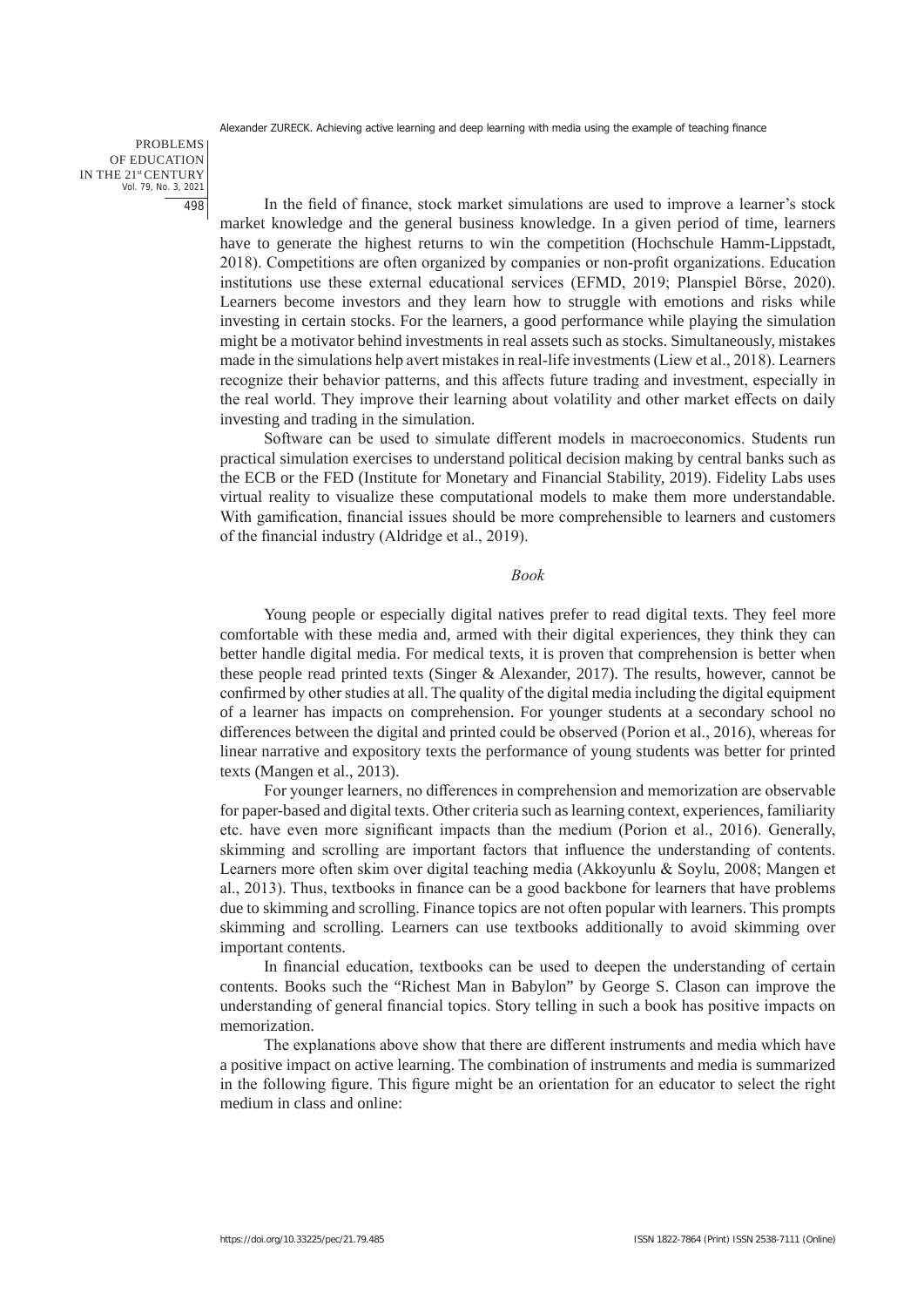PROBLEMS OF EDUCATION IN THE 21st CENTURY Vol. 79, No. 3, 2021 498

In the field of finance, stock market simulations are used to improve a learner's stock market knowledge and the general business knowledge. In a given period of time, learners have to generate the highest returns to win the competition (Hochschule Hamm-Lippstadt, 2018). Competitions are often organized by companies or non-profit organizations. Education institutions use these external educational services (EFMD, 2019; Planspiel Börse, 2020). Learners become investors and they learn how to struggle with emotions and risks while investing in certain stocks. For the learners, a good performance while playing the simulation might be a motivator behind investments in real assets such as stocks. Simultaneously, mistakes made in the simulations help avert mistakes in real-life investments (Liew et al., 2018). Learners recognize their behavior patterns, and this affects future trading and investment, especially in the real world. They improve their learning about volatility and other market effects on daily investing and trading in the simulation.

Software can be used to simulate different models in macroeconomics. Students run practical simulation exercises to understand political decision making by central banks such as the ECB or the FED (Institute for Monetary and Financial Stability, 2019). Fidelity Labs uses virtual reality to visualize these computational models to make them more understandable. With gamification, financial issues should be more comprehensible to learners and customers of the financial industry (Aldridge et al., 2019).

### *Book*

Young people or especially digital natives prefer to read digital texts. They feel more comfortable with these media and, armed with their digital experiences, they think they can better handle digital media. For medical texts, it is proven that comprehension is better when these people read printed texts (Singer & Alexander, 2017). The results, however, cannot be confirmed by other studies at all. The quality of the digital media including the digital equipment of a learner has impacts on comprehension. For younger students at a secondary school no differences between the digital and printed could be observed (Porion et al., 2016), whereas for linear narrative and expository texts the performance of young students was better for printed texts (Mangen et al., 2013).

For younger learners, no differences in comprehension and memorization are observable for paper-based and digital texts. Other criteria such as learning context, experiences, familiarity etc. have even more significant impacts than the medium (Porion et al., 2016). Generally, skimming and scrolling are important factors that influence the understanding of contents. Learners more often skim over digital teaching media (Akkoyunlu & Soylu, 2008; Mangen et al., 2013). Thus, textbooks in finance can be a good backbone for learners that have problems due to skimming and scrolling. Finance topics are not often popular with learners. This prompts skimming and scrolling. Learners can use textbooks additionally to avoid skimming over important contents.

In financial education, textbooks can be used to deepen the understanding of certain contents. Books such the "Richest Man in Babylon" by George S. Clason can improve the understanding of general financial topics. Story telling in such a book has positive impacts on memorization.

The explanations above show that there are different instruments and media which have a positive impact on active learning. The combination of instruments and media is summarized in the following figure. This figure might be an orientation for an educator to select the right medium in class and online: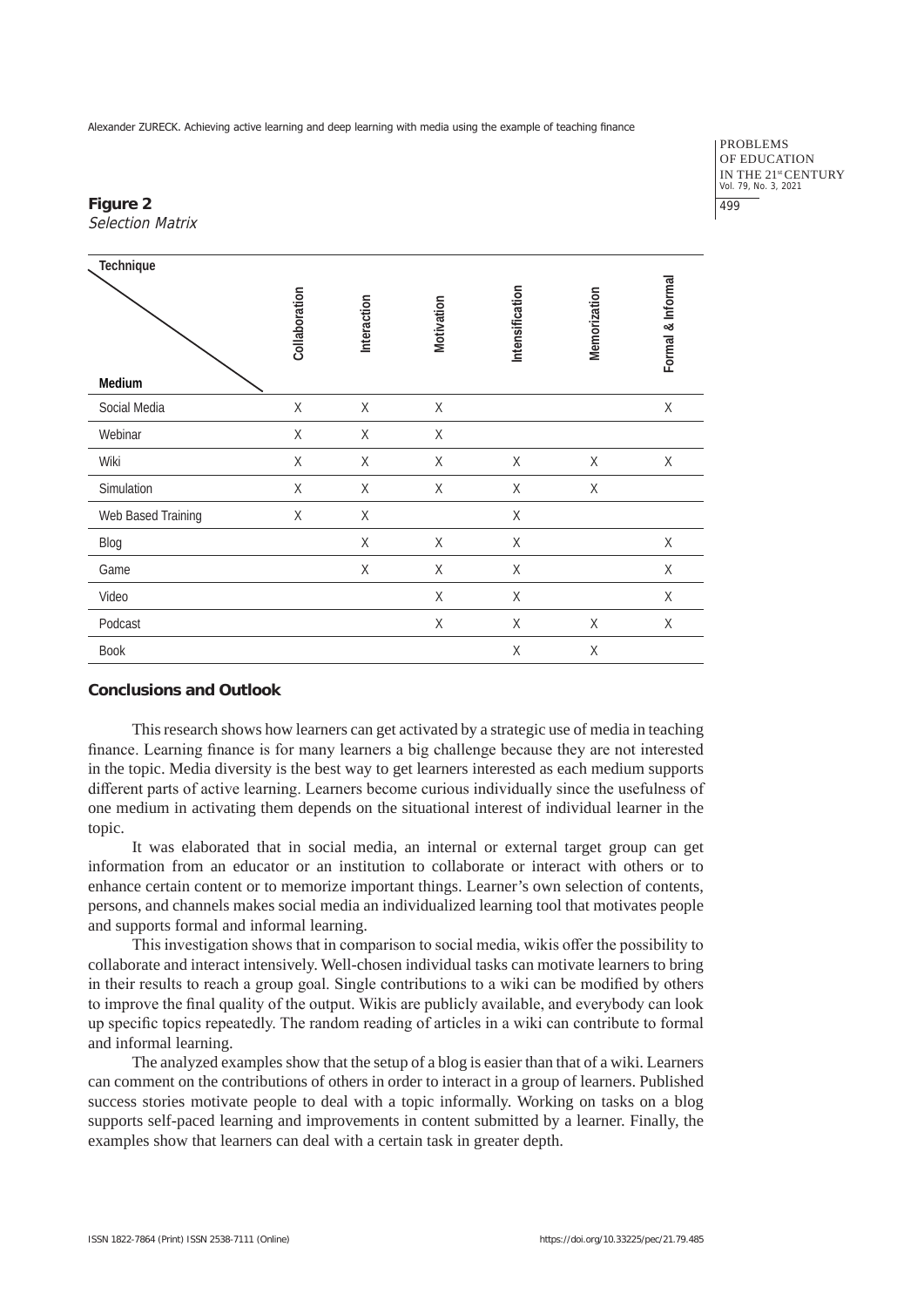PROBLEMS OF EDUCATION IN THE 21st CENTURY Vol. 79, No. 3, 2021 499

# **Figure 2** Selection Matrix

| Technique          |               |             |             |                 |              |                   |
|--------------------|---------------|-------------|-------------|-----------------|--------------|-------------------|
|                    | Collaboration | Interaction | Motivation  | Intensification | Memorization | Formal & Informal |
| Medium             |               |             |             |                 |              |                   |
| Social Media       | $\mathsf X$   | $\mathsf X$ | $\mathsf X$ |                 |              | $\mathsf X$       |
| Webinar            | Χ             | Χ           | Χ           |                 |              |                   |
| Wiki               | X             | $\mathsf X$ | $\mathsf X$ | $\mathsf X$     | Χ            | $\mathsf X$       |
| Simulation         | Χ             | Χ           | Χ           | Χ               | Χ            |                   |
| Web Based Training | X             | $\mathsf X$ |             | $\mathsf X$     |              |                   |
| Blog               |               | Χ           | $\mathsf X$ | Χ               |              | $\mathsf X$       |
| Game               |               | $\mathsf X$ | $\mathsf X$ | $\mathsf X$     |              | Χ                 |
| Video              |               |             | X           | X               |              | Χ                 |
| Podcast            |               |             | $\mathsf X$ | X               | X            | Χ                 |
| <b>Book</b>        |               |             |             | X               | X            |                   |

# **Conclusions and Outlook**

This research shows how learners can get activated by a strategic use of media in teaching finance. Learning finance is for many learners a big challenge because they are not interested in the topic. Media diversity is the best way to get learners interested as each medium supports different parts of active learning. Learners become curious individually since the usefulness of one medium in activating them depends on the situational interest of individual learner in the topic.

It was elaborated that in social media, an internal or external target group can get information from an educator or an institution to collaborate or interact with others or to enhance certain content or to memorize important things. Learner's own selection of contents, persons, and channels makes social media an individualized learning tool that motivates people and supports formal and informal learning.

This investigation shows that in comparison to social media, wikis offer the possibility to collaborate and interact intensively. Well-chosen individual tasks can motivate learners to bring in their results to reach a group goal. Single contributions to a wiki can be modified by others to improve the final quality of the output. Wikis are publicly available, and everybody can look up specific topics repeatedly. The random reading of articles in a wiki can contribute to formal and informal learning.

The analyzed examples show that the setup of a blog is easier than that of a wiki. Learners can comment on the contributions of others in order to interact in a group of learners. Published success stories motivate people to deal with a topic informally. Working on tasks on a blog supports self-paced learning and improvements in content submitted by a learner. Finally, the examples show that learners can deal with a certain task in greater depth.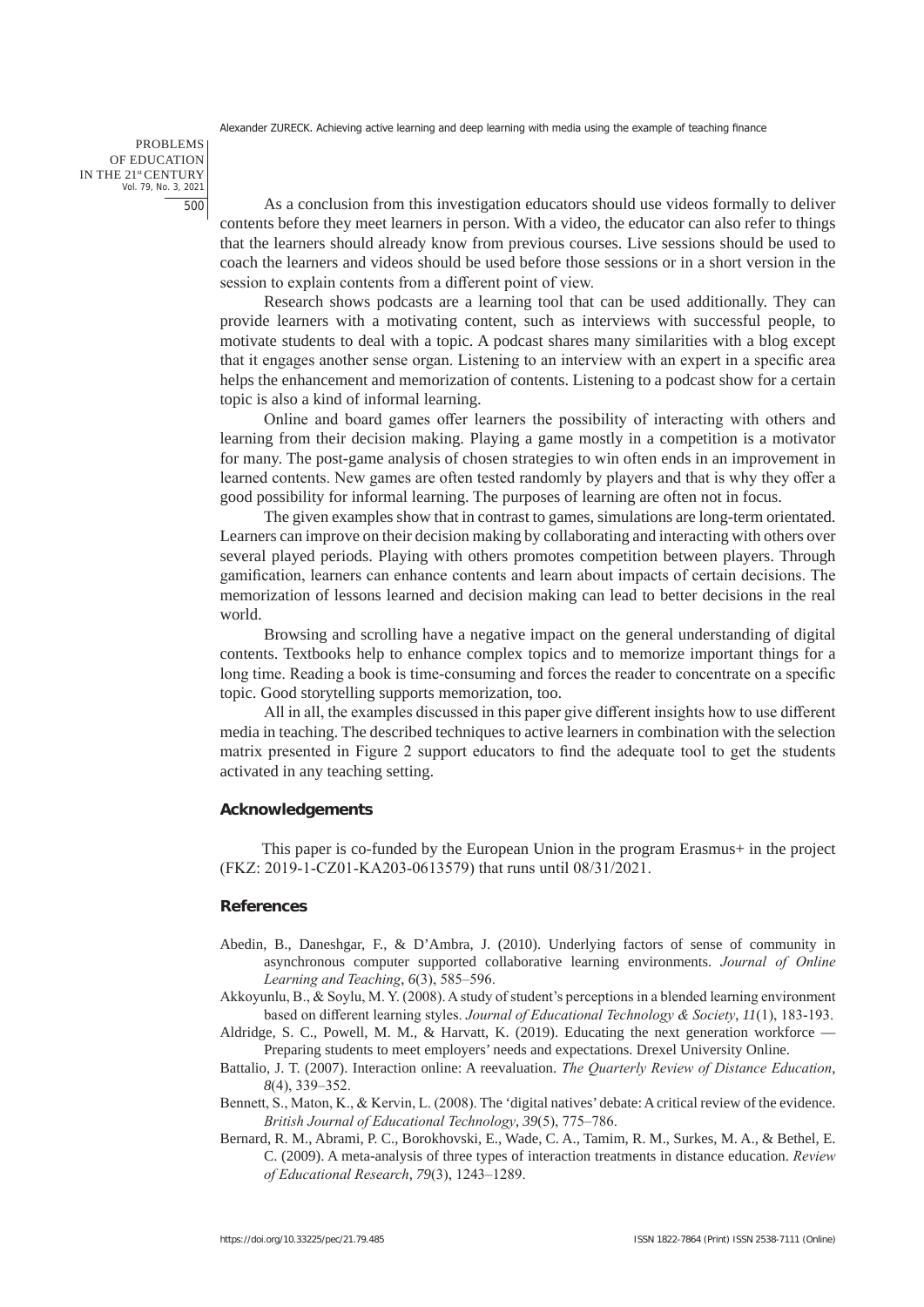PROBLEMS OF EDUCATION IN THE 21st CENTURY Vol. 79, No. 3, 2021 500

As a conclusion from this investigation educators should use videos formally to deliver contents before they meet learners in person. With a video, the educator can also refer to things that the learners should already know from previous courses. Live sessions should be used to coach the learners and videos should be used before those sessions or in a short version in the session to explain contents from a different point of view.

Research shows podcasts are a learning tool that can be used additionally. They can provide learners with a motivating content, such as interviews with successful people, to motivate students to deal with a topic. A podcast shares many similarities with a blog except that it engages another sense organ. Listening to an interview with an expert in a specific area helps the enhancement and memorization of contents. Listening to a podcast show for a certain topic is also a kind of informal learning.

Online and board games offer learners the possibility of interacting with others and learning from their decision making. Playing a game mostly in a competition is a motivator for many. The post-game analysis of chosen strategies to win often ends in an improvement in learned contents. New games are often tested randomly by players and that is why they offer a good possibility for informal learning. The purposes of learning are often not in focus.

The given examples show that in contrast to games, simulations are long-term orientated. Learners can improve on their decision making by collaborating and interacting with others over several played periods. Playing with others promotes competition between players. Through gamification, learners can enhance contents and learn about impacts of certain decisions. The memorization of lessons learned and decision making can lead to better decisions in the real world.

Browsing and scrolling have a negative impact on the general understanding of digital contents. Textbooks help to enhance complex topics and to memorize important things for a long time. Reading a book is time-consuming and forces the reader to concentrate on a specific topic. Good storytelling supports memorization, too.

All in all, the examples discussed in this paper give different insights how to use different media in teaching. The described techniques to active learners in combination with the selection matrix presented in Figure 2 support educators to find the adequate tool to get the students activated in any teaching setting.

### **Acknowledgements**

This paper is co-funded by the European Union in the program Erasmus+ in the project (FKZ: 2019-1-CZ01-KA203-0613579) that runs until 08/31/2021.

# **References**

- Abedin, B., Daneshgar, F., & D'Ambra, J. (2010). Underlying factors of sense of community in asynchronous computer supported collaborative learning environments. *Journal of Online Learning and Teaching*, *6*(3), 585–596.
- Akkoyunlu, B., & Soylu, M. Y. (2008). A study of student's perceptions in a blended learning environment based on different learning styles. *Journal of Educational Technology & Society*, *11*(1), 183-193.
- Aldridge, S. C., Powell, M. M., & Harvatt, K. (2019). Educating the next generation workforce Preparing students to meet employers' needs and expectations. Drexel University Online.
- Battalio, J. T. (2007). Interaction online: A reevaluation. *The Quarterly Review of Distance Education*, *8*(4), 339–352.
- Bennett, S., Maton, K., & Kervin, L. (2008). The 'digital natives' debate: A critical review of the evidence. *British Journal of Educational Technology*, *39*(5), 775–786.
- Bernard, R. M., Abrami, P. C., Borokhovski, E., Wade, C. A., Tamim, R. M., Surkes, M. A., & Bethel, E. C. (2009). A meta-analysis of three types of interaction treatments in distance education. *Review of Educational Research*, *79*(3), 1243–1289.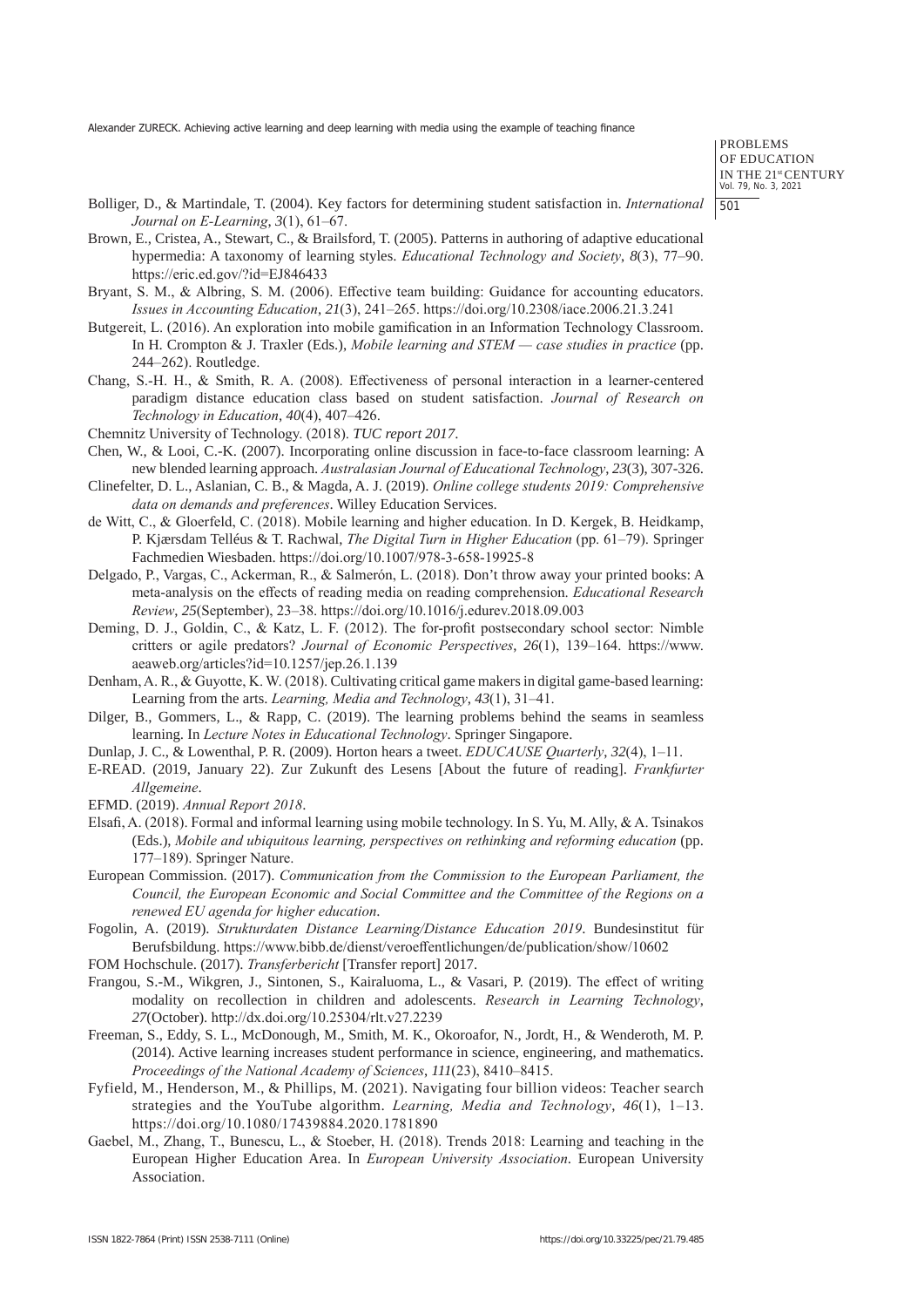PROBLEMS OF EDUCATION IN THE 21st CENTURY Vol. 79, No. 3, 2021 501

- Bolliger, D., & Martindale, T. (2004). Key factors for determining student satisfaction in. *International Journal on E-Learning*, *3*(1), 61–67.
- Brown, E., Cristea, A., Stewart, C., & Brailsford, T. (2005). Patterns in authoring of adaptive educational hypermedia: A taxonomy of learning styles. *Educational Technology and Society*, *8*(3), 77–90. https://eric.ed.gov/?id=EJ846433
- Bryant, S. M., & Albring, S. M. (2006). Effective team building: Guidance for accounting educators. *Issues in Accounting Education*, *21*(3), 241–265. https://doi.org/10.2308/iace.2006.21.3.241
- Butgereit, L. (2016). An exploration into mobile gamification in an Information Technology Classroom. In H. Crompton & J. Traxler (Eds.), *Mobile learning and STEM — case studies in practice* (pp. 244–262). Routledge.
- Chang, S.-H. H., & Smith, R. A. (2008). Effectiveness of personal interaction in a learner-centered paradigm distance education class based on student satisfaction. *Journal of Research on Technology in Education*, *40*(4), 407–426.
- Chemnitz University of Technology. (2018). *TUC report 2017*.
- Chen, W., & Looi, C.-K. (2007). Incorporating online discussion in face-to-face classroom learning: A new blended learning approach. *Australasian Journal of Educational Technology*, *23*(3), 307-326.
- Clinefelter, D. L., Aslanian, C. B., & Magda, A. J. (2019). *Online college students 2019: Comprehensive data on demands and preferences*. Willey Education Services.
- de Witt, C., & Gloerfeld, C. (2018). Mobile learning and higher education. In D. Kergek, B. Heidkamp, P. Kjærsdam Telléus & T. Rachwal, *The Digital Turn in Higher Education* (pp. 61–79). Springer Fachmedien Wiesbaden. https://doi.org/10.1007/978-3-658-19925-8
- Delgado, P., Vargas, C., Ackerman, R., & Salmerón, L. (2018). Don't throw away your printed books: A meta-analysis on the effects of reading media on reading comprehension. *Educational Research Review*, *25*(September), 23–38. https://doi.org/10.1016/j.edurev.2018.09.003
- Deming, D. J., Goldin, C., & Katz, L. F. (2012). The for-profit postsecondary school sector: Nimble critters or agile predators? *Journal of Economic Perspectives*, *26*(1), 139–164. https://www. aeaweb.org/articles?id=10.1257/jep.26.1.139
- Denham, A. R., & Guyotte, K. W. (2018). Cultivating critical game makers in digital game-based learning: Learning from the arts. *Learning, Media and Technology*, *43*(1), 31–41.
- Dilger, B., Gommers, L., & Rapp, C. (2019). The learning problems behind the seams in seamless learning. In *Lecture Notes in Educational Technology*. Springer Singapore.
- Dunlap, J. C., & Lowenthal, P. R. (2009). Horton hears a tweet. *EDUCAUSE Quarterly*, *32*(4), 1–11.
- E-READ. (2019, January 22). Zur Zukunft des Lesens [About the future of reading]. *Frankfurter Allgemeine*.
- EFMD. (2019). *Annual Report 2018*.
- Elsafi, A. (2018). Formal and informal learning using mobile technology. In S. Yu, M. Ally, & A. Tsinakos (Eds.), *Mobile and ubiquitous learning, perspectives on rethinking and reforming education* (pp. 177–189). Springer Nature.
- European Commission. (2017). *Communication from the Commission to the European Parliament, the Council, the European Economic and Social Committee and the Committee of the Regions on a renewed EU agenda for higher education*.
- Fogolin, A. (2019). *Strukturdaten Distance Learning/Distance Education 2019*. Bundesinstitut für Berufsbildung. https://www.bibb.de/dienst/veroeffentlichungen/de/publication/show/10602
- FOM Hochschule. (2017). *Transferbericht* [Transfer report] 2017.
- Frangou, S.-M., Wikgren, J., Sintonen, S., Kairaluoma, L., & Vasari, P. (2019). The effect of writing modality on recollection in children and adolescents. *Research in Learning Technology*, *27*(October). http://dx.doi.org/10.25304/rlt.v27.2239
- Freeman, S., Eddy, S. L., McDonough, M., Smith, M. K., Okoroafor, N., Jordt, H., & Wenderoth, M. P. (2014). Active learning increases student performance in science, engineering, and mathematics. *Proceedings of the National Academy of Sciences*, *111*(23), 8410–8415.
- Fyfield, M., Henderson, M., & Phillips, M. (2021). Navigating four billion videos: Teacher search strategies and the YouTube algorithm. *Learning, Media and Technology*, *46*(1), 1–13. https://doi.org/10.1080/17439884.2020.1781890
- Gaebel, M., Zhang, T., Bunescu, L., & Stoeber, H. (2018). Trends 2018: Learning and teaching in the European Higher Education Area. In *European University Association*. European University Association.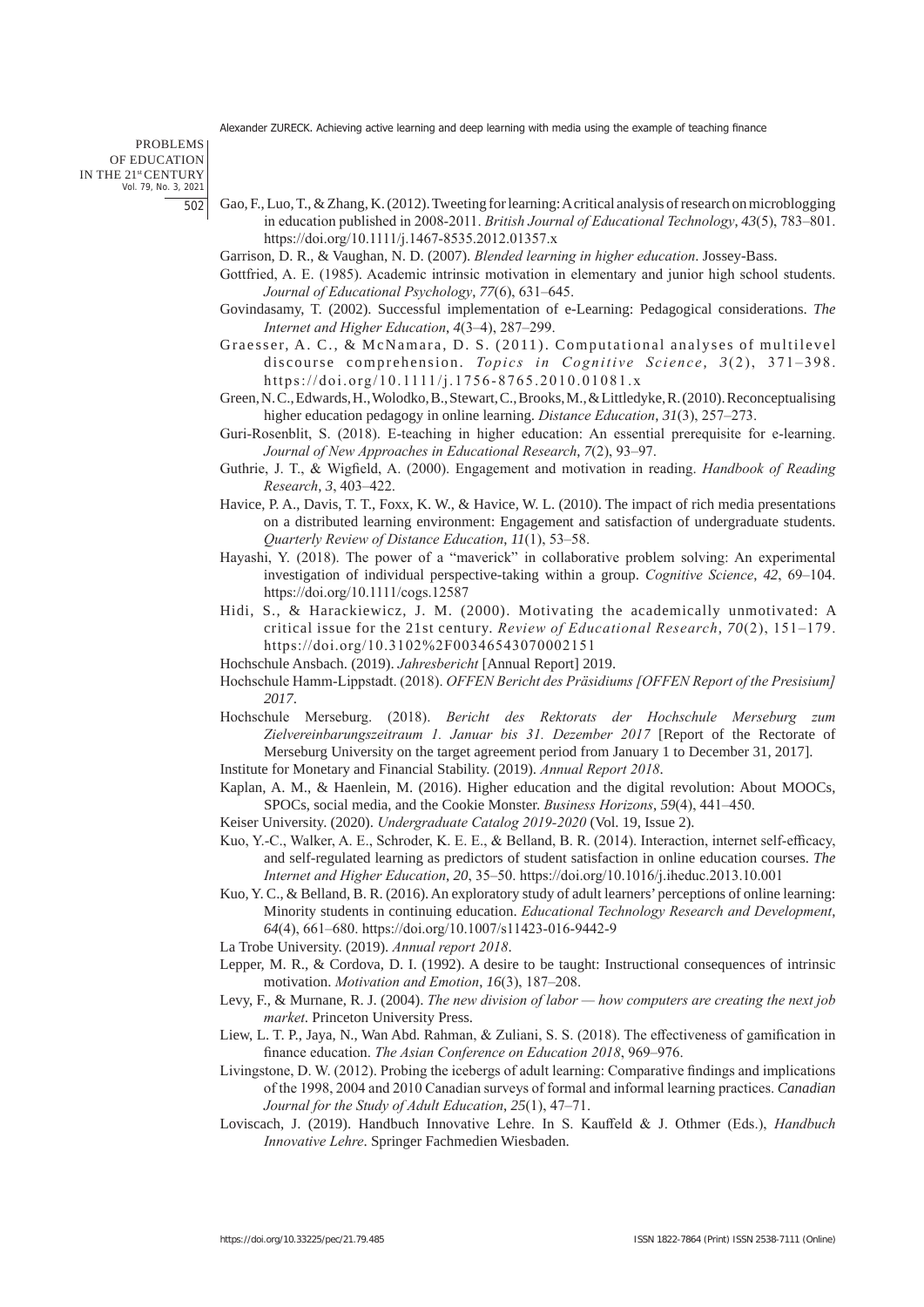PROBLEMS OF EDUCATION IN THE 21st CENTURY Vol. 79, No. 3, 2021 502

- Gao, F., Luo, T., & Zhang, K. (2012). Tweeting for learning: A critical analysis of research on microblogging in education published in 2008-2011. *British Journal of Educational Technology*, *43*(5), 783–801. https://doi.org/10.1111/j.1467-8535.2012.01357.x
- Garrison, D. R., & Vaughan, N. D. (2007). *Blended learning in higher education*. Jossey-Bass.
- Gottfried, A. E. (1985). Academic intrinsic motivation in elementary and junior high school students. *Journal of Educational Psychology*, *77*(6), 631–645.
- Govindasamy, T. (2002). Successful implementation of e-Learning: Pedagogical considerations. *The Internet and Higher Education*, *4*(3–4), 287–299.
- Graesser, A. C., & McNamara, D. S. (2011). Computational analyses of multilevel discourse comprehension. *Topics in Cognitive Science*, 3(2), 371-398. https://doi.org/10.1111/j.1756-8765.2010.01081.x
- Green, N. C., Edwards, H., Wolodko, B., Stewart, C., Brooks, M., & Littledyke, R. (2010). Reconceptualising higher education pedagogy in online learning. *Distance Education*, *31*(3), 257–273.
- Guri-Rosenblit, S. (2018). E-teaching in higher education: An essential prerequisite for e-learning. *Journal of New Approaches in Educational Research*, *7*(2), 93–97.
- Guthrie, J. T., & Wigfield, A. (2000). Engagement and motivation in reading. *Handbook of Reading Research*, *3*, 403–422.
- Havice, P. A., Davis, T. T., Foxx, K. W., & Havice, W. L. (2010). The impact of rich media presentations on a distributed learning environment: Engagement and satisfaction of undergraduate students. *Quarterly Review of Distance Education*, *11*(1), 53–58.
- Hayashi, Y. (2018). The power of a "maverick" in collaborative problem solving: An experimental investigation of individual perspective-taking within a group. *Cognitive Science*, *42*, 69–104. https://doi.org/10.1111/cogs.12587
- Hidi, S., & Harackiewicz, J. M. (2000). Motivating the academically unmotivated: A critical issue for the 21st century. *Review of Educational Research*, *70*(2), 151–179. https://doi.org/10.3102%2F00346543070002151
- Hochschule Ansbach. (2019). *Jahresbericht* [Annual Report] 2019.
- Hochschule Hamm-Lippstadt. (2018). *OFFEN Bericht des Präsidiums [OFFEN Report of the Presisium] 2017*.
- Hochschule Merseburg. (2018). *Bericht des Rektorats der Hochschule Merseburg zum Zielvereinbarungszeitraum 1. Januar bis 31. Dezember 2017* [Report of the Rectorate of Merseburg University on the target agreement period from January 1 to December 31, 2017].
- Institute for Monetary and Financial Stability. (2019). *Annual Report 2018*.
- Kaplan, A. M., & Haenlein, M. (2016). Higher education and the digital revolution: About MOOCs, SPOCs, social media, and the Cookie Monster. *Business Horizons*, *59*(4), 441–450.
- Keiser University. (2020). *Undergraduate Catalog 2019-2020* (Vol. 19, Issue 2).
- Kuo, Y.-C., Walker, A. E., Schroder, K. E. E., & Belland, B. R. (2014). Interaction, internet self-efficacy, and self-regulated learning as predictors of student satisfaction in online education courses. *The Internet and Higher Education*, *20*, 35–50. https://doi.org/10.1016/j.iheduc.2013.10.001
- Kuo, Y. C., & Belland, B. R. (2016). An exploratory study of adult learners' perceptions of online learning: Minority students in continuing education. *Educational Technology Research and Development*, *64*(4), 661–680. https://doi.org/10.1007/s11423-016-9442-9
- La Trobe University. (2019). *Annual report 2018*.
- Lepper, M. R., & Cordova, D. I. (1992). A desire to be taught: Instructional consequences of intrinsic motivation. *Motivation and Emotion*, *16*(3), 187–208.
- Levy, F., & Murnane, R. J. (2004). *The new division of labor how computers are creating the next job market*. Princeton University Press.
- Liew, L. T. P., Jaya, N., Wan Abd. Rahman, & Zuliani, S. S. (2018). The effectiveness of gamification in finance education. *The Asian Conference on Education 2018*, 969–976.
- Livingstone, D. W. (2012). Probing the icebergs of adult learning: Comparative findings and implications of the 1998, 2004 and 2010 Canadian surveys of formal and informal learning practices. *Canadian Journal for the Study of Adult Education*, *25*(1), 47–71.
- Loviscach, J. (2019). Handbuch Innovative Lehre. In S. Kauffeld & J. Othmer (Eds.), *Handbuch Innovative Lehre*. Springer Fachmedien Wiesbaden.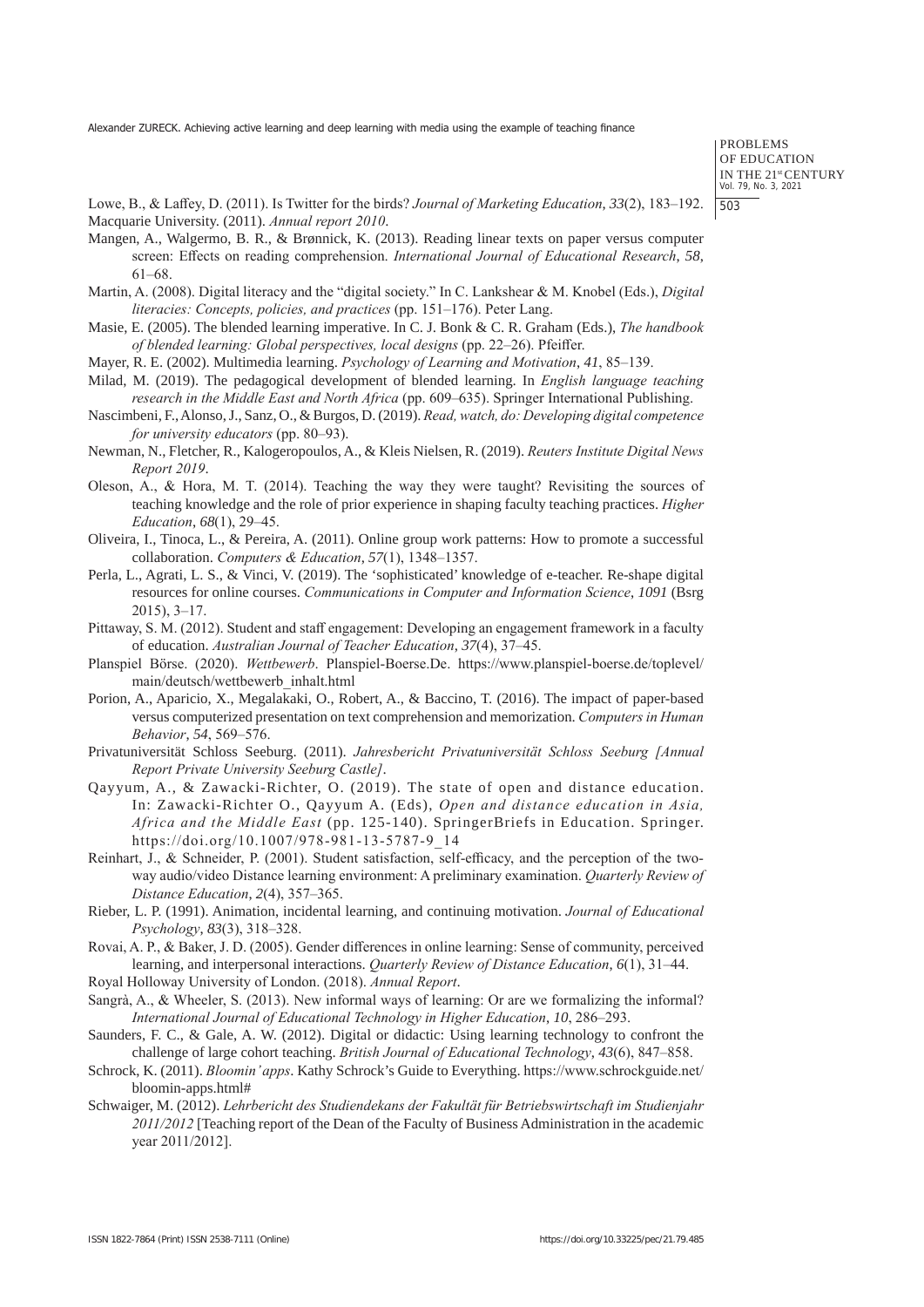PROBLEMS OF EDUCATION IN THE 21st CENTURY Vol. 79, No. 3, 2021 503

Lowe, B., & Laffey, D. (2011). Is Twitter for the birds? *Journal of Marketing Education*, *33*(2), 183–192. Macquarie University. (2011). *Annual report 2010*.

- Mangen, A., Walgermo, B. R., & Brønnick, K. (2013). Reading linear texts on paper versus computer screen: Effects on reading comprehension. *International Journal of Educational Research*, *58*, 61–68.
- Martin, A. (2008). Digital literacy and the "digital society." In C. Lankshear & M. Knobel (Eds.), *Digital literacies: Concepts, policies, and practices* (pp. 151–176). Peter Lang.
- Masie, E. (2005). The blended learning imperative. In C. J. Bonk & C. R. Graham (Eds.), *The handbook of blended learning: Global perspectives, local designs* (pp. 22–26). Pfeiffer.
- Mayer, R. E. (2002). Multimedia learning. *Psychology of Learning and Motivation*, *41*, 85–139.
- Milad, M. (2019). The pedagogical development of blended learning. In *English language teaching research in the Middle East and North Africa* (pp. 609–635). Springer International Publishing.
- Nascimbeni, F., Alonso, J., Sanz, O., & Burgos, D. (2019). *Read, watch, do: Developing digital competence for university educators* (pp. 80–93).
- Newman, N., Fletcher, R., Kalogeropoulos, A., & Kleis Nielsen, R. (2019). *Reuters Institute Digital News Report 2019*.
- Oleson, A., & Hora, M. T. (2014). Teaching the way they were taught? Revisiting the sources of teaching knowledge and the role of prior experience in shaping faculty teaching practices. *Higher Education*, *68*(1), 29–45.
- Oliveira, I., Tinoca, L., & Pereira, A. (2011). Online group work patterns: How to promote a successful collaboration. *Computers & Education*, *57*(1), 1348–1357.
- Perla, L., Agrati, L. S., & Vinci, V. (2019). The 'sophisticated' knowledge of e-teacher. Re-shape digital resources for online courses. *Communications in Computer and Information Science*, *1091* (Bsrg 2015), 3–17.
- Pittaway, S. M. (2012). Student and staff engagement: Developing an engagement framework in a faculty of education. *Australian Journal of Teacher Education*, *37*(4), 37–45.
- Planspiel Börse. (2020). *Wettbewerb*. Planspiel-Boerse.De. https://www.planspiel-boerse.de/toplevel/ main/deutsch/wettbewerb\_inhalt.html
- Porion, A., Aparicio, X., Megalakaki, O., Robert, A., & Baccino, T. (2016). The impact of paper-based versus computerized presentation on text comprehension and memorization. *Computers in Human Behavior*, *54*, 569–576.
- Privatuniversität Schloss Seeburg. (2011). *Jahresbericht Privatuniversität Schloss Seeburg [Annual Report Private University Seeburg Castle]*.
- Qayyum, A., & Zawacki-Richter, O. (2019). The state of open and distance education. In: Zawacki-Richter O., Qayyum A. (Eds), *Open and distance education in Asia, Africa and the Middle East* (pp. 125-140). SpringerBriefs in Education. Springer. https://doi.org/10.1007/978-981-13-5787-9\_14
- Reinhart, J., & Schneider, P. (2001). Student satisfaction, self-efficacy, and the perception of the twoway audio/video Distance learning environment: A preliminary examination. *Quarterly Review of Distance Education*, *2*(4), 357–365.
- Rieber, L. P. (1991). Animation, incidental learning, and continuing motivation. *Journal of Educational Psychology*, *83*(3), 318–328.
- Rovai, A. P., & Baker, J. D. (2005). Gender differences in online learning: Sense of community, perceived learning, and interpersonal interactions. *Quarterly Review of Distance Education*, *6*(1), 31–44.
- Royal Holloway University of London. (2018). *Annual Report*.
- Sangrà, A., & Wheeler, S. (2013). New informal ways of learning: Or are we formalizing the informal? *International Journal of Educational Technology in Higher Education*, *10*, 286–293.
- Saunders, F. C., & Gale, A. W. (2012). Digital or didactic: Using learning technology to confront the challenge of large cohort teaching. *British Journal of Educational Technology*, *43*(6), 847–858.
- Schrock, K. (2011). *Bloomin' apps*. Kathy Schrock's Guide to Everything. https://www.schrockguide.net/ bloomin-apps.html#
- Schwaiger, M. (2012). *Lehrbericht des Studiendekans der Fakultät für Betriebswirtschaft im Studienjahr 2011/2012* [Teaching report of the Dean of the Faculty of Business Administration in the academic year 2011/2012].